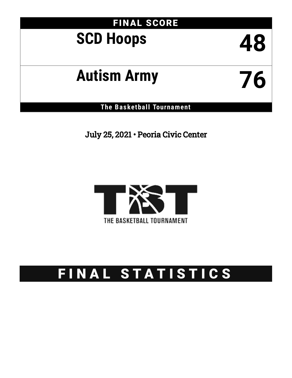# FINAL SCORE

# **SCD Hoops 48**

# **Autism Army 76**

**The Basketball Tournament**

July 25, 2021 • Peoria Civic Center



# FINAL STATISTICS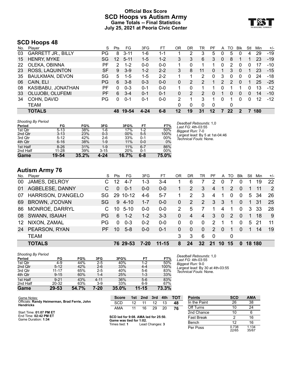### **Official Box Score SCD Hoops vs Autism Army Game Totals -- Final Statistics July 25, 2021 at Peoria Civic Center**



# **SCD Hoops 48**

| No. | Player                    | S  | Pts             | FG       | 3FG      | FT.     | ΟR | DR | TR       | PF       | A              | TO            | <b>BIK</b> | Stl      | Min | $+/-$ |
|-----|---------------------------|----|-----------------|----------|----------|---------|----|----|----------|----------|----------------|---------------|------------|----------|-----|-------|
| 03  | <b>GARRETT JR., BILLY</b> | PG | 8               | $3 - 11$ | 1-6      | $1 - 1$ |    | 2  | 3        | 5        | 0              | 5             | $\Omega$   | 4        | 29  | $-19$ |
| 15  | <b>HENRY, MYKE</b>        | SG | 12 <sup>°</sup> | $5 - 11$ | $1 - 5$  | $1 - 2$ | 3  | 3  | 6        | 3        | $\mathbf{0}$   | 8             |            |          | 23  | $-19$ |
| 22  | OLEKA, OBINNA             | РF | 2               | $1 - 2$  | $0 - 0$  | $0 - 0$ |    | 0  | 1        | 1        | 0              | 2             | $\Omega$   | 0        | 17  | $-10$ |
| 23  | ROSS, LAQUINTON           | SF | 9               | $3-9$    | $1 - 2$  | $2 - 2$ | 3  | 8  | 11       | 0        |                | 3             | $\Omega$   |          | 23  | $-15$ |
| 35  | <b>BAULKMAN, DEVON</b>    | SG | 5               | $1 - 5$  | $1 - 5$  | $2 - 2$ |    |    | 2        | 0        | 3              | 0             | $\Omega$   | 0        | 24  | $-18$ |
| 06  | CAIN, ELI                 | PG | 6               | $3 - 8$  | $0 - 3$  | $0 - 0$ | 0  |    | 2        |          | $\overline{2}$ | $\mathcal{P}$ | $\Omega$   |          | 25  | $-25$ |
| 08  | KASIBABU, JONATHAN        | PF | 0               | $0 - 3$  | $0 - 1$  | $0-0$   |    | 0  |          |          | 0              |               |            | 0        | 13  | $-12$ |
| 33  | OLUJOBI, OLUFEMI          | PF | 6               | $3 - 4$  | $0 - 1$  | $0 - 1$ | 0  | 2  | 2        | 0        |                | 0             | $\Omega$   | 0        | 14  | $-10$ |
| 34  | COHN, DAVID               | PG | $\Omega$        | $0 - 1$  | $0 - 1$  | $0-0$   | 2  |    | 3        |          | 0              |               | 0          | $\Omega$ | 12  | $-12$ |
|     | TEAM                      |    |                 |          |          |         | 0  | 0  | $\Omega$ | $\Omega$ |                | 0             |            |          |     |       |
|     | <b>TOTALS</b>             |    | 48.             | 19-54    | $4 - 24$ | $6 - 8$ | 12 | 19 | 31       | $12 \,$  |                | 22            |            |          | 180 |       |

| <b>Shooting By Period</b> |           |       |          |       |         |       |
|---------------------------|-----------|-------|----------|-------|---------|-------|
| Period                    | FG        | FG%   | 3FG      | 3FG%  | FT      | FT%   |
| 1st Qtr                   | $5 - 13$  | 38%   | $1-6$    | 17%   | $1 - 2$ | 50%   |
| 2nd Qtr                   | $3 - 13$  | 23%   | $0 - 3$  | 00%   | $5 - 5$ | 100%  |
| 3rd Qtr                   | $5 - 12$  | 42%   | $2-6$    | 33%   | $0 - 1$ | 00%   |
| 4th Qtr                   | $6 - 16$  | 38%   | $1 - 9$  | 11%   | $0 - 0$ | $0\%$ |
| 1st Half                  | $8-26$    | 31%   | $1 - 9$  | 11%   | $6 - 7$ | 86%   |
| 2nd Half                  | $11 - 28$ | 39%   | $3 - 15$ | 20%   | $0 - 1$ | 00%   |
| Game                      | 19-54     | 35.2% | 4-24     | 16.7% | 6-8     | 75.0% |

*Deadball Rebounds:* 1,0 *Last FG:* 4th-03:55 *Biggest Run:* 7-0 *Largest lead:* By 5 at 1st-04:46 *Technical Fouls:* None.

# **Autism Army 76**

| No.              | Player                    | S.        | Pts      | FG.      | 3FG      | FT.       | OR            | DR       | TR              | PF            | A               | TO          | <b>Blk</b>   | Stl | Min    | $+/-$ |
|------------------|---------------------------|-----------|----------|----------|----------|-----------|---------------|----------|-----------------|---------------|-----------------|-------------|--------------|-----|--------|-------|
| 00               | JAMES, DELROY             |           | 12       | $4 - 7$  | 1-3      | $3 - 4$   |               | 6        |                 | 2             | 0               |             | 0            |     | 19     | 22    |
| 01               | AGBELESE, DANNY           | C.        | $\Omega$ | $0 - 1$  | $0 - 0$  | $0 - 0$   |               | 2        | 3               | 4             |                 | 2           | $\Omega$     |     | 11     | 2     |
| 07               | <b>HARRISON, D'ANGELO</b> | SG.       | -29      | 10-12    | $4-6$    | $5 - 7$   |               | 2        | 3               | 4             | 1               | $\Omega$    | $\Omega$     | 5   | 34     | 26    |
| 69               | <b>BROWN, J'COVAN</b>     | <b>SG</b> | 9        | $4 - 10$ | $1 - 7$  | $0 - 0$   | 0             | 2        | 2               | 3             | 3               | 1           | $\Omega$     |     | 31     | 25    |
| 86.              | <b>MONROE, DARRYL</b>     |           | 10       | $5-10$   | $0 - 0$  | $0 - 0$   | $\mathcal{P}$ | 5        |                 | 1.            | 4               | 1           | $\Omega$     | 3   | 33     | 28    |
| 08               | SWANN, ISAIAH             | PG.       | 6        | $1 - 2$  | $1 - 2$  | $3 - 3$   | 0             | 4        | 4               | 3             | $\Omega$        | 2           | $\Omega$     |     | 18     | 9     |
| 12 <sup>12</sup> | NIXON, ZAMAL              | PG        | $\Omega$ | $0 - 3$  | $0 - 2$  | $0 - 0$   | 0             | 0        | $\Omega$        | 2             |                 |             | $\Omega$     | 5.  | -21    | -11   |
| 24               | PEARSON, RYAN             | РF        | 10       | $5 - 8$  | $0 - 0$  | $0 - 1$   | 0             | $\Omega$ | $\Omega$        | $\mathcal{P}$ | $\Omega$        |             | $\Omega$     | 1   | 14     | 19    |
|                  | <b>TEAM</b>               |           |          |          |          |           | 3             | 3        | 6               | 0             |                 | $\mathbf 0$ |              |     |        |       |
|                  | <b>TOTALS</b>             |           |          | 76 29-53 | $7 - 20$ | $11 - 15$ | 8             | 24       | $32\phantom{a}$ | 21            | 10 <sup>1</sup> | 15          | $\mathbf{0}$ |     | 18 180 |       |

| <b>Shooting By Period</b> |           |       |          |       |           |       |
|---------------------------|-----------|-------|----------|-------|-----------|-------|
| Period                    | FG        | FG%   | 3FG      | 3FG%  | FT        | FT%   |
| 1st Qtr                   | $4 - 9$   | 44%   | $2 - 5$  | 40%   | $1 - 2$   | 50%   |
| 2nd Qtr                   | $5 - 12$  | 42%   | $2 - 6$  | 33%   | $4 - 4$   | 100%  |
| 3rd Qtr                   | $11 - 17$ | 65%   | $2 - 5$  | 40%   | $5-6$     | 83%   |
| 4th Qtr                   | $9 - 15$  | 60%   | $1 - 4$  | 25%   | $1 - 3$   | 33%   |
| 1st Half                  | $9 - 21$  | 43%   | $4 - 11$ | 36%   | $5-6$     | 83%   |
| 2nd Half                  | 20-32     | 63%   | $3-9$    | 33%   | $6-9$     | 67%   |
| Game                      | 29-53     | 54.7% | 7-20     | 35.0% | $11 - 15$ | 73.3% |

*Deadball Rebounds:* 1,0 *Last FG:* 4th-03:55 *Biggest Run:* 9-0 *Largest lead:* By 30 at 4th-03:55 *Technical Fouls:* None.

| Game Notes:                                                       | <b>Score</b>                                    | 1st | 2nd             | 3rd | 4th | <b>TOT</b> | <b>Points</b>     | <b>SCD</b>     | AMA            |
|-------------------------------------------------------------------|-------------------------------------------------|-----|-----------------|-----|-----|------------|-------------------|----------------|----------------|
| Officials: Randy Heimerman, Brad Ferrie, John<br><b>Hendricks</b> | SCD                                             | 12  |                 | 12  | 13  | 48         | In the Paint      | 26             | 38             |
|                                                                   | AMA                                             | 11  | 16              | 29  | 20  | 76         | Off Turns         |                | 24             |
| Start Time: 01:07 PM ET                                           |                                                 |     |                 |     |     |            | 2nd Chance        | 10             |                |
| End Time: 02:42 PM ET<br>Game Duration: 1:34                      | SCD led for 9:08. AMA led for 25:50.            |     |                 |     |     |            | <b>Fast Break</b> |                | 16             |
|                                                                   | Game was tied for 1:02.<br>Times tied: <b>1</b> |     | Lead Changes: 3 |     |     |            | Bench             |                | 16             |
|                                                                   |                                                 |     |                 |     |     |            | Per Poss          | 0.738<br>22/65 | 1.134<br>35/67 |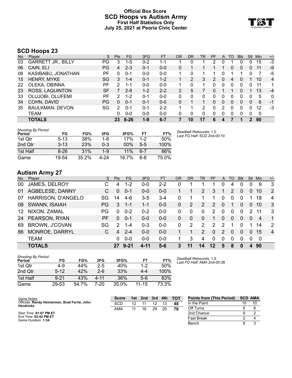#### **Official Box Score SCD Hoops vs Autism Army First Half Statistics Only July 25, 2021 at Peoria Civic Center**



# **SCD Hoops 23**

| No. | Player                    | S         | <b>Pts</b> | FG       | 3FG     | <b>FT</b> | <b>OR</b> | DR       | TR | <b>PF</b>    | A        | TO | <b>Blk</b> | Stl      | Min | $+/-$          |
|-----|---------------------------|-----------|------------|----------|---------|-----------|-----------|----------|----|--------------|----------|----|------------|----------|-----|----------------|
| 03  | <b>GARRETT JR., BILLY</b> | PG        | 3          | $1-5$    | $0 - 2$ | 1-1       |           |          |    |              | 0        |    | ი          |          | 15  | $-3$           |
| 06  | CAIN, ELI                 | PG        | 4          | $2 - 3$  | $0 - 1$ | $0 - 0$   | 0         |          |    |              |          | 0  | 0          | 0        | 11  | -9             |
| 08  | KASIBABU, JONATHAN        | РF        | 0          | $0 - 1$  | $0 - 0$ | $0-0$     |           |          |    |              |          |    |            |          |     | -5             |
| 15  | <b>HENRY, MYKE</b>        | SG        | 3          | $1 - 4$  | $0 - 1$ | $1-2$     |           |          | 3  | 2            | $\Omega$ | 4  | 0          |          | 10  | $\overline{4}$ |
| 22  | OLEKA, OBINNA             | РF        | 2          | 1-1      | $0 - 0$ | $0 - 0$   |           | 0        |    | 0            | $\Omega$ | 0  | 0          | 0        | 11  | 1              |
| 23  | ROSS, LAQUINTON           | <b>SF</b> |            | $2 - 8$  | $1 - 2$ | $2 - 2$   | 2         | 5        |    |              |          |    | 0          |          | 13  | $-4$           |
| 33  | OLUJOBI, OLUFEMI          | РF        | 2          | $1 - 2$  | $0 - 1$ | $0 - 0$   | $\Omega$  | 0        | 0  | 0            | $\Omega$ | 0  | 0          | 0        | 5   | 0              |
| 34  | COHN, DAVID               | PG        | $\Omega$   | $0 - 1$  | $0 - 1$ | $0 - 0$   | 0         |          |    | $\Omega$     | $\Omega$ | 0  | 0          | $\Omega$ | 6   | -1             |
| 35  | <b>BAULKMAN, DEVON</b>    | SG        | 2          | $0 - 1$  | $0 - 1$ | $2 - 2$   |           |          | 2  | <sup>0</sup> | 2        | 0  | 0          | 0        | 12  | -3             |
|     | TEAM                      |           | 0          | $0 - 0$  | $0 - 0$ | $0 - 0$   | 0         | $\Omega$ | 0  | 0            | $\Omega$ | 0  | 0          | 0        | 0   |                |
|     | <b>TOTALS</b>             |           | 23         | $8 - 26$ | $1 - 9$ | $6 - 7$   |           | 10       | 17 | 6            |          |    |            |          | 90  |                |

| <b>Shooting By Period</b><br>Period | FG       | FG%   | 3FG     | 3FG%  | FT      | FT%   | Deadball Rebounds: 1,0<br>Last FG Half: SCD 2nd-00:10 |
|-------------------------------------|----------|-------|---------|-------|---------|-------|-------------------------------------------------------|
| 1st Qtr                             | $5 - 13$ | 38%   | 1-6     | 17%   | $1 - 2$ | 50%   |                                                       |
| 2nd Qtr                             | $3 - 13$ | 23%   | $0 - 3$ | 00%   | $5 - 5$ | 100%  |                                                       |
| 1st Half                            | $8 - 26$ | 31%   | $1-9$   | 11%   | $6 - 7$ | 86%   |                                                       |
| Game                                | 19-54    | 35.2% | 4-24    | 16.7% | $6 - 8$ | 75.0% |                                                       |

# **Autism Army 27**

| No. | Plaver                | S.  | <b>Pts</b>    | FG.      | 3FG     | <b>FT</b> | OR       | <b>DR</b> | TR.      | PF       | A        | TO       | <b>Blk</b> | Stl            | Min            | $+/-$          |
|-----|-----------------------|-----|---------------|----------|---------|-----------|----------|-----------|----------|----------|----------|----------|------------|----------------|----------------|----------------|
| 00  | JAMES, DELROY         | С   | 4             | $1 - 2$  | $0 - 0$ | $2 - 2$   | 0        |           |          |          | 0        | 4        | 0          |                | 9              | 3              |
| 01  | AGBELESE, DANNY       | C.  | $\Omega$      | $0 - 1$  | $0 - 0$ | $0 - 0$   |          |           | 2        | 3        |          | 2        | $\Omega$   | $\overline{0}$ | 10             | 2              |
| 07  | HARRISON, D'ANGELO    | SG. | 14            | $4-6$    | $3-5$   | $3 - 4$   | 0        |           |          | 1        | $\Omega$ | $\Omega$ | $\Omega$   |                | 18             | $\overline{4}$ |
| 08  | SWANN, ISAIAH         | PG  | 3             | $1 - 1$  | 1-1     | $0 - 0$   | $\Omega$ | 2         | 2        | 2        | $\Omega$ |          | $\Omega$   | $\overline{0}$ | 10             | 3              |
| 12  | NIXON, ZAMAL          | PG  | 0             | $0 - 2$  | $0 - 2$ | $0-0$     | 0        | 0         | $\Omega$ | 2        | $\Omega$ | $\Omega$ | $\Omega$   | $\mathcal{P}$  | 11             | 3              |
|     | 24 PEARSON, RYAN      | PF  | 0             | $0 - 1$  | $0 - 0$ | $0 - 0$   | 0        | $\Omega$  | $\Omega$ |          | 0        | 0        | $\Omega$   | $\Omega$       | $\overline{4}$ | $\overline{1}$ |
| 69  | <b>BROWN, J'COVAN</b> | SG  | $\mathcal{P}$ | $1 - 4$  | $0 - 3$ | $0 - 0$   | $\Omega$ | 2         | 2        | 2        | 2        |          | 0          |                | 14             | 2              |
| 86  | MONROE, DARRYL        | C   | 4             | $2 - 4$  | $0 - 0$ | $0 - 0$   |          |           | 2        | $\Omega$ | 2        | 0        | $\Omega$   | $\Omega$       | 15             | $\overline{4}$ |
|     | <b>TEAM</b>           |     | 0             | $0 - 0$  | $0 - 0$ | $0 - 0$   |          | 3         | 4        | $\Omega$ | $\Omega$ | $\Omega$ | $\Omega$   | 0              | -0             |                |
|     | <b>TOTALS</b>         |     | 27            | $9 - 21$ | 4-11    | 5-6       | 3        | 11        | 14       | 12       | 5        | 8        | 0          | 4              | 90             |                |

| <b>Shooting By Period</b><br>Period | FG       | FG%   | 3FG     | 3FG%  | FТ    | FT%   |
|-------------------------------------|----------|-------|---------|-------|-------|-------|
| 1st Otr                             | 4-9      | 44%   | $2 - 5$ | 40%   | $1-2$ | 50%   |
| 2nd Otr                             | $5 - 12$ | 42%   | 2-6     | 33%   | 4-4   | 100%  |
| 1st Half                            | $9 - 21$ | 43%   | 4-11    | 36%   | $5-6$ | 83%   |
| Game                                | 29-53    | 54.7% | 7-20    | 35.0% | 11-15 | 73.3% |

*Deadball Rebounds:* 1,0 *Last FG Half:* AMA 2nd-00:38

| Game Notes:                                                | <b>Score</b> | 1st. | 2nd | 3rd | 4th | <b>TOT</b> | <b>Points from (This Period)</b> | <b>SCD AMA</b> |    |
|------------------------------------------------------------|--------------|------|-----|-----|-----|------------|----------------------------------|----------------|----|
| Officials: Randy Heimerman, Brad Ferrie, John<br>Hendricks | <b>SCD</b>   | 12   |     | 12  |     | 48         | In the Paint                     | 10             | 10 |
|                                                            | AMA          |      | 16  | 29  | 20  | 76         | Off Turns                        |                |    |
| Start Time: 01:07 PM ET                                    |              |      |     |     |     |            | 2nd Chance                       |                |    |
| End Time: 02:42 PM ET<br>Game Duration: 1:34               |              |      |     |     |     |            | <b>Fast Break</b>                |                |    |
|                                                            |              |      |     |     |     |            | Bench                            |                |    |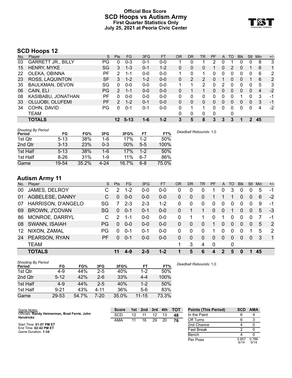### **Official Box Score SCD Hoops vs Autism Army First Quarter Statistics Only July 25, 2021 at Peoria Civic Center**



# **SCD Hoops 12**

| No. | Plaver                    | S   | <b>Pts</b> | <b>FG</b>       | 3FG     | <b>FT</b> | <b>OR</b> | <b>DR</b> | TR            | <b>PF</b> | A        | TO | <b>Blk</b> | Stl          | Min | $+/-$        |
|-----|---------------------------|-----|------------|-----------------|---------|-----------|-----------|-----------|---------------|-----------|----------|----|------------|--------------|-----|--------------|
| 03  | <b>GARRETT JR., BILLY</b> | PG  | 0          | $0 - 3$         | $0 - 1$ | $0 - 0$   |           | 0         |               | 2         | 0        |    | 0          | 0            | 8   | 3            |
| 15  | <b>HENRY, MYKE</b>        | SG  | 3          | $1 - 3$         | $0 - 1$ | $1 - 2$   | 0         | 0         | 0             |           | 0        | 2  | 0          |              | 6   | $\mathbf{1}$ |
| 22  | OLEKA, OBINNA             | РF  | 2          | $1 - 1$         | $0 - 0$ | $0 - 0$   |           | $\Omega$  |               | 0         | $\Omega$ | 0  | 0          | 0            | 6   | 2            |
| 23  | ROSS, LAQUINTON           | SF  | 3          | $1 - 2$         | $1 - 2$ | $0 - 0$   | 0         | 2         | $\mathcal{P}$ | 0         |          | 0  | 0          |              | 6   | 2            |
| 35  | <b>BAULKMAN, DEVON</b>    | SG  | 0          | $0 - 0$         | $0-0$   | $0 - 0$   |           |           | 2             | 0         | 2        | 0  | 0          | 0            | 5   | 3            |
| 06  | CAIN, ELI                 | PG. | 2          | $1 - 1$         | $0 - 0$ | $0 - 0$   | 0         |           |               | 0         | 0        | 0  | 0          | $\Omega$     | 4   | $-2$         |
| 08  | KASIBABU, JONATHAN        | РF  | 0          | $0 - 0$         | $0 - 0$ | $0 - 0$   | 0         | 0         | 0             | 0         | 0        | 0  |            | 0            | 3   | -1           |
| 33  | OLUJOBI, OLUFEMI          | PF  | 2          | $1 - 2$         | $0 - 1$ | $0 - 0$   | 0         | 0         | 0             | 0         | 0        | 0  | 0          | $\mathbf{0}$ | 3   | -1           |
| 34  | COHN, DAVID               | PG  | 0          | $0 - 1$         | $0 - 1$ | $0 - 0$   | 0         |           |               | 0         | $\Omega$ | 0  | 0          | 0            | 4   | $-2$         |
|     | TEAM                      |     |            |                 |         |           | 0         | 0         | 0             | $\Omega$  |          | 0  |            |              |     |              |
|     | <b>TOTALS</b>             |     |            | $12 \quad 5-13$ | $1 - 6$ | $1 - 2$   | 3         | 5         | 8             | 3         | 3        | 3  |            | 2            | 45  |              |

| <b>Shooting By Period</b> |          |       |         |        |         |       |                        |
|---------------------------|----------|-------|---------|--------|---------|-------|------------------------|
| Period                    | FG       | FG%   | 3FG     | 3FG%   | FT      | FT%   | Deadball Rebounds: 1,0 |
| 1st Qtr                   | $5 - 13$ | 38%   | 1-6     | 17%    | $1 - 2$ | 50%   |                        |
| 2nd Qtr                   | $3 - 13$ | 23%   | $0 - 3$ | $00\%$ | $5 - 5$ | 100%  |                        |
| 1st Half                  | $5 - 13$ | 38%   | 1-6     | 17%    | $1 - 2$ | 50%   |                        |
| 1st Half                  | $8 - 26$ | 31%   | $1-9$   | 11%    | $6 - 7$ | 86%   |                        |
| Game                      | 19-54    | 35.2% | 4-24    | 16.7%  | $6 - 8$ | 75.0% |                        |

# **Autism Army 11**

| No. | Plaver                | S.        | <b>Pts</b> | FG.     | 3FG     | <b>FT</b> | OR | <b>DR</b> | TR       | <b>PF</b> | A            | TO | <b>Blk</b> | Stl            | <b>Min</b> | $+/-$          |
|-----|-----------------------|-----------|------------|---------|---------|-----------|----|-----------|----------|-----------|--------------|----|------------|----------------|------------|----------------|
| 00  | JAMES, DELROY         | С         | 2          | $1 - 2$ | $0 - 0$ | $0 - 0$   | 0  | 0         | 0        |           |              | 3  | 0          |                | 5          | -1             |
| 01  | AGBELESE, DANNY       | C         | $\Omega$   | $0 - 0$ | $0 - 0$ | $0 - 0$   | 0  | 0         | $\Omega$ |           |              |    | 0          | $\Omega$       | 6          | $-2$           |
| 07  | HARRISON, D'ANGELO    | SG        |            | $2 - 3$ | $2 - 3$ | $1 - 2$   | 0  | 0         | 0        | 0         | $\mathbf{0}$ | 0  | 0          | $\Omega$       | 9          | -1             |
| 69  | <b>BROWN, J'COVAN</b> | <b>SG</b> | 0          | $0 - 1$ | $0 - 1$ | $0 - 0$   | 0  |           |          | 0         | $\mathbf{0}$ |    | 0          | $\overline{0}$ | 5          | -3             |
| 86  | MONROE, DARRYL        | C         | 2          | 1-1     | $0 - 0$ | $0-0$     | 0  |           |          | 0         |              | 0  | 0          | $\Omega$       |            | $-1$           |
| 08  | SWANN, ISAIAH         | <b>PG</b> | 0          | $0 - 0$ | $0 - 0$ | $0 - 0$   | 0  | $\Omega$  | 0        | 1         | $\Omega$     | 0  | $\Omega$   | $\Omega$       | 5          | $\overline{2}$ |
| 12  | NIXON, ZAMAL          | PG        | $\Omega$   | $0 - 1$ | $0 - 1$ | $0-0$     | 0  | 0         | $\Omega$ |           | 0            | 0  | 0          |                | 5          | $\overline{2}$ |
| 24  | PEARSON, RYAN         | PF        | 0          | $0 - 1$ | $0 - 0$ | $0-0$     | 0  | 0         | $\Omega$ | $\Omega$  | $\mathbf{0}$ | 0  | $\Omega$   | $\Omega$       | 3          | $\overline{1}$ |
|     | <b>TEAM</b>           |           |            |         |         |           | 1  | 3         | 4        | 0         |              | 0  |            |                |            |                |
|     | <b>TOTALS</b>         |           | 11         | $4-9$   | $2 - 5$ | $1 - 2$   |    | 5         | 6        | 4         | 2            | 5  | 0          |                | 45         |                |

| <b>Shooting By Period</b> |          |       |         |       |           |       |
|---------------------------|----------|-------|---------|-------|-----------|-------|
| Period                    | FG       | FG%   | 3FG     | 3FG%  | FT        | FT%   |
| 1st Qtr                   | 4-9      | 44%   | $2 - 5$ | 40%   | $1 - 2$   | 50%   |
| 2nd Qtr                   | $5 - 12$ | 42%   | $2-6$   | 33%   | $4 - 4$   | 100%  |
| 1st Half                  | $4 - 9$  | 44%   | $2 - 5$ | 40%   | $1 - 2$   | 50%   |
| 1st Half                  | $9 - 21$ | 43%   | 4-11    | 36%   | $5-6$     | 83%   |
| Game                      | 29-53    | 54.7% | 7-20    | 35.0% | $11 - 15$ | 73.3% |

*Deadball Rebounds:* 1,0

| Game Notes:                                                       | <b>Score</b> | 1st | 2nd | 3rd | 4th | <b>TOT</b> | <b>Points (This Period)</b> | <b>SCD</b>    | <b>AMA</b>    |
|-------------------------------------------------------------------|--------------|-----|-----|-----|-----|------------|-----------------------------|---------------|---------------|
| Officials: Randy Heimerman, Brad Ferrie, John<br><b>Hendricks</b> | SCD          | 12  |     | 12  |     | 48         | In the Paint                |               |               |
|                                                                   | AMA          | 11  | 16  | 29  | 20  | 76         | Off Turns                   |               |               |
| Start Time: 01:07 PM ET                                           |              |     |     |     |     |            | 2nd Chance                  |               |               |
| End Time: 02:42 PM ET<br>Game Duration: 1:34                      |              |     |     |     |     |            | <b>Fast Break</b>           |               |               |
|                                                                   |              |     |     |     |     |            | Bench                       |               |               |
|                                                                   |              |     |     |     |     |            | Per Poss                    | 0.857<br>6/14 | 0.786<br>5/14 |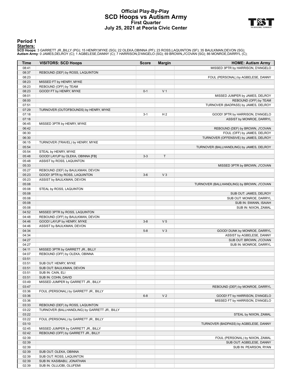### **Official Play-By-Play SCD Hoops vs Autism Army First Quarter July 25, 2021 at Peoria Civic Center**



#### **Period 1**

<mark>Starters:</mark><br>SCD Hoops: 3 GARRETT JR.,BILLY (PG); 15 HENRY,MYKE (SG); 22 OLEKA,OBINNA (PF); 23 ROSS,LAQUINTON (SF); 35 BAULKMAN,DEVON (SG);<br>**Autism Army**: 0 JAMES,DELROY (C); 1 AGBELESE,DANNY (C); 7 HARRISON,D'ANGELO (SG);

| Time           | <b>VISITORS: SCD Hoops</b>                    | <b>Score</b> | <b>Margin</b>  | <b>HOME: Autism Army</b>                                          |
|----------------|-----------------------------------------------|--------------|----------------|-------------------------------------------------------------------|
| 08:41          |                                               |              |                | MISSED 3PTR by HARRISON, D'ANGELO                                 |
| 08:37          | REBOUND (DEF) by ROSS, LAQUINTON              |              |                |                                                                   |
| 08:23          |                                               |              |                | FOUL (PERSONAL) by AGBELESE, DANNY                                |
| 08:23          | MISSED FT by HENRY, MYKE                      |              |                |                                                                   |
| 08:23          | REBOUND (OFF) by TEAM                         |              |                |                                                                   |
| 08:23          | GOOD! FT by HENRY, MYKE                       | $0 - 1$      | V <sub>1</sub> |                                                                   |
| 08:01          |                                               |              |                | MISSED JUMPER by JAMES, DELROY                                    |
| 08:00          |                                               |              |                | REBOUND (OFF) by TEAM                                             |
| 07:51          |                                               |              |                | TURNOVER (BADPASS) by JAMES, DELROY                               |
| 07:29          | TURNOVER (OUTOFBOUNDS) by HENRY, MYKE         |              |                |                                                                   |
| 07:18          |                                               | $3 - 1$      | H <sub>2</sub> | GOOD! 3PTR by HARRISON, D'ANGELO                                  |
| 07:18          |                                               |              |                | ASSIST by MONROE, DARRYL                                          |
| 06:45          | MISSED 3PTR by HENRY, MYKE                    |              |                |                                                                   |
| 06:42          |                                               |              |                | REBOUND (DEF) by BROWN, J'COVAN                                   |
| 06:30          |                                               |              |                | FOUL (OFF) by JAMES, DELROY                                       |
| 06:30          |                                               |              |                | TURNOVER (OFFENSIVE) by JAMES, DELROY                             |
| 06:15          | TURNOVER (TRAVEL) by HENRY, MYKE              |              |                |                                                                   |
| 05:54          | STEAL by HENRY, MYKE                          |              |                | TURNOVER (BALLHANDLING) by JAMES, DELROY                          |
| 05:54<br>05:48 | GOOD! LAYUP by OLEKA, OBINNA [FB]             | $3 - 3$      | T              |                                                                   |
| 05:48          | ASSIST by ROSS, LAQUINTON                     |              |                |                                                                   |
| 05:33          |                                               |              |                | MISSED 3PTR by BROWN, J'COVAN                                     |
| 05:27          | REBOUND (DEF) by BAULKMAN, DEVON              |              |                |                                                                   |
| 05:23          | GOOD! 3PTR by ROSS, LAQUINTON                 | $3-6$        | V <sub>3</sub> |                                                                   |
| 05:23          | ASSIST by BAULKMAN, DEVON                     |              |                |                                                                   |
| 05:08          |                                               |              |                | TURNOVER (BALLHANDLING) by BROWN, J'COVAN                         |
| 05:08          | STEAL by ROSS, LAQUINTON                      |              |                |                                                                   |
| 05:08          |                                               |              |                | SUB OUT: JAMES, DELROY                                            |
| 05:08          |                                               |              |                | SUB OUT: MONROE, DARRYL                                           |
| 05:08          |                                               |              |                | SUB IN: SWANN, ISAIAH                                             |
| 05:08          |                                               |              |                | SUB IN: NIXON, ZAMAL                                              |
| 04:52          | MISSED 3PTR by ROSS, LAQUINTON                |              |                |                                                                   |
| 04:48          | REBOUND (OFF) by BAULKMAN, DEVON              |              |                |                                                                   |
| 04:46          | GOOD! LAYUP by HENRY, MYKE                    | $3 - 8$      | V <sub>5</sub> |                                                                   |
| 04:46          | ASSIST by BAULKMAN, DEVON                     |              |                |                                                                   |
| 04:34          |                                               | $5 - 8$      | $V_3$          | GOOD! DUNK by MONROE, DARRYL                                      |
| 04:34          |                                               |              |                | ASSIST by AGBELESE, DANNY                                         |
| 04:27          |                                               |              |                | SUB OUT: BROWN, J'COVAN                                           |
| 04:27          |                                               |              |                | SUB IN: MONROE, DARRYL                                            |
| 04:11          | MISSED 3PTR by GARRETT JR., BILLY             |              |                |                                                                   |
| 04:07          | REBOUND (OFF) by OLEKA, OBINNA                |              |                |                                                                   |
| 03:51          |                                               |              |                |                                                                   |
| 03:51          | SUB OUT: HENRY, MYKE                          |              |                |                                                                   |
| 03:51          | SUB OUT: BAULKMAN, DEVON                      |              |                |                                                                   |
| 03:51          | SUB IN: CAIN, ELI                             |              |                |                                                                   |
| 03:51          | SUB IN: COHN, DAVID                           |              |                |                                                                   |
| 03:49          | MISSED JUMPER by GARRETT JR., BILLY           |              |                |                                                                   |
| 03:47          |                                               |              |                | REBOUND (DEF) by MONROE, DARRYL                                   |
| 03:36          | FOUL (PERSONAL) by GARRETT JR., BILLY         | $6 - 8$      | V <sub>2</sub> |                                                                   |
| 03:36<br>03:36 |                                               |              |                | GOOD! FT by HARRISON, D'ANGELO<br>MISSED FT by HARRISON, D'ANGELO |
| 03:33          | REBOUND (DEF) by ROSS, LAQUINTON              |              |                |                                                                   |
| 03:22          | TURNOVER (BALLHANDLING) by GARRETT JR., BILLY |              |                |                                                                   |
| 03:22          |                                               |              |                | STEAL by NIXON, ZAMAL                                             |
| 03:22          | FOUL (PERSONAL) by GARRETT JR., BILLY         |              |                |                                                                   |
| 03:10          |                                               |              |                | TURNOVER (BADPASS) by AGBELESE, DANNY                             |
| 02:45          | MISSED JUMPER by GARRETT JR., BILLY           |              |                |                                                                   |
| 02:42          | REBOUND (OFF) by GARRETT JR., BILLY           |              |                |                                                                   |
| 02:39          |                                               |              |                | FOUL (PERSONAL) by NIXON, ZAMAL                                   |
| 02:39          |                                               |              |                | SUB OUT: AGBELESE, DANNY                                          |
| 02:39          |                                               |              |                | SUB IN: PEARSON, RYAN                                             |
| 02:39          | SUB OUT: OLEKA, OBINNA                        |              |                |                                                                   |
| 02:39          | SUB OUT: ROSS, LAQUINTON                      |              |                |                                                                   |
| 02:39          | SUB IN: KASIBABU, JONATHAN                    |              |                |                                                                   |
| 02:39          | SUB IN: OLUJOBI, OLUFEMI                      |              |                |                                                                   |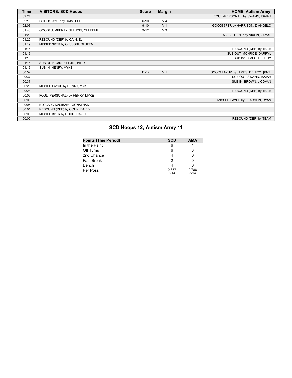| Time  | <b>VISITORS: SCD Hoops</b>       | <b>Score</b> | <b>Margin</b>  | <b>HOME: Autism Army</b>           |
|-------|----------------------------------|--------------|----------------|------------------------------------|
| 02:24 |                                  |              |                | FOUL (PERSONAL) by SWANN, ISAIAH   |
| 02:13 | GOOD! LAYUP by CAIN, ELI         | $6 - 10$     | V <sub>4</sub> |                                    |
| 02:03 |                                  | $9 - 10$     | V <sub>1</sub> | GOOD! 3PTR by HARRISON, D'ANGELO   |
| 01:43 | GOOD! JUMPER by OLUJOBI, OLUFEMI | $9 - 12$     | $V_3$          |                                    |
| 01:25 |                                  |              |                | MISSED 3PTR by NIXON, ZAMAL        |
| 01:22 | REBOUND (DEF) by CAIN, ELI       |              |                |                                    |
| 01:19 | MISSED 3PTR by OLUJOBI, OLUFEMI  |              |                |                                    |
| 01:16 |                                  |              |                | REBOUND (DEF) by TEAM              |
| 01:16 |                                  |              |                | SUB OUT: MONROE, DARRYL            |
| 01:16 |                                  |              |                | SUB IN: JAMES, DELROY              |
| 01:16 | SUB OUT: GARRETT JR., BILLY      |              |                |                                    |
| 01:16 | SUB IN: HENRY, MYKE              |              |                |                                    |
| 00:52 |                                  | $11 - 12$    | V <sub>1</sub> | GOOD! LAYUP by JAMES, DELROY [PNT] |
| 00:37 |                                  |              |                | SUB OUT: SWANN, ISAIAH             |
| 00:37 |                                  |              |                | SUB IN: BROWN, J'COVAN             |
| 00:29 | MISSED LAYUP by HENRY, MYKE      |              |                |                                    |
| 00:28 |                                  |              |                | REBOUND (DEF) by TEAM              |
| 00:09 | FOUL (PERSONAL) by HENRY, MYKE   |              |                |                                    |
| 00:05 |                                  |              |                | MISSED LAYUP by PEARSON, RYAN      |
| 00:05 | BLOCK by KASIBABU, JONATHAN      |              |                |                                    |
| 00:01 | REBOUND (DEF) by COHN, DAVID     |              |                |                                    |
| 00:00 | MISSED 3PTR by COHN, DAVID       |              |                |                                    |
| 00:00 |                                  |              |                | REBOUND (DEF) by TEAM              |

# **SCD Hoops 12, Autism Army 11**

| <b>Points (This Period)</b> | <b>SCD</b>    | <b>AMA</b>    |
|-----------------------------|---------------|---------------|
| In the Paint                | 6             |               |
| Off Turns                   |               |               |
| 2nd Chance                  |               |               |
| Fast Break                  |               |               |
| Bench                       |               |               |
| Per Poss                    | 0.857<br>6/14 | 0.786<br>5/14 |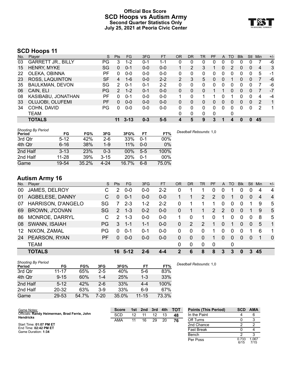### **Official Box Score SCD Hoops vs Autism Army Second Quarter Statistics Only July 25, 2021 at Peoria Civic Center**



# **SCD Hoops 11**

| No. | Plaver                    | S         | <b>Pts</b> | FG       | 3FG     | <b>FT</b> | 0R | <b>DR</b> | TR | <b>PF</b>   | A        | TO | <b>Blk</b> | Stl          | Min | $+/-$ |
|-----|---------------------------|-----------|------------|----------|---------|-----------|----|-----------|----|-------------|----------|----|------------|--------------|-----|-------|
| 03  | <b>GARRETT JR., BILLY</b> | PG        | 3          | $1-2$    | $0 - 1$ | 1-1       | 0  | 0         | 0  | 0           | 0        | 0  | 0          | 0            |     | -6    |
| 15  | <b>HENRY, MYKE</b>        | SG        | 0          | $0 - 1$  | $0 - 0$ | $0 - 0$   |    | 2         | 3  |             | 0        | 2  | 0          | 0            | 4   | 3     |
| 22  | OLEKA, OBINNA             | РF        | 0          | $0 - 0$  | $0-0$   | $0 - 0$   | 0  | 0         | 0  | 0           | 0        | 0  | 0          | 0            | 5   | -1    |
| 23  | ROSS, LAQUINTON           | <b>SF</b> | 4          | $1 - 6$  | $0 - 0$ | $2 - 2$   | 2  | 3         | 5  | 0           | 0        |    | 0          | 0            |     | -6    |
| 35  | <b>BAULKMAN, DEVON</b>    | SG        | 2          | $0 - 1$  | $0 - 1$ | $2 - 2$   | 0  | 0         | 0  | 0           | 0        | 0  | 0          |              |     | -6    |
| 06  | CAIN, ELI                 | PG.       | 2          | $1 - 2$  | $0 - 1$ | $0 - 0$   | 0  | 0         | 0  |             |          | 0  | 0          | 0            |     | $-7$  |
| 08  | KASIBABU, JONATHAN        | РF        | 0          | $0 - 1$  | $0 - 0$ | $0 - 0$   |    | 0         |    |             | 0        |    | 0          | 0            | 4   | -4    |
| 33  | OLUJOBI, OLUFEMI          | PF        | 0          | $0 - 0$  | $0 - 0$ | $0 - 0$   | 0  | 0         | 0  | 0           | 0        | 0  | 0          | $\Omega$     | 2   | 1     |
| 34  | COHN, DAVID               | PG        | 0          | $0 - 0$  | $0-0$   | $0 - 0$   | 0  | 0         | 0  | 0           | $\Omega$ | 0  | 0          | 0            | 2   | 1     |
|     | TEAM                      |           |            |          |         |           | 0  | 0         | 0  | $\mathbf 0$ |          | 0  |            |              |     |       |
|     | <b>TOTALS</b>             |           | 11         | $3 - 13$ | $0 - 3$ | $5 - 5$   | 4  | 5         | 9  | 3           |          | 4  | 0          | $\mathbf{0}$ | 45  |       |

| <b>Shooting By Period</b> |           |       |          |            |         |       | Deadball Rebounds: 1,0 |
|---------------------------|-----------|-------|----------|------------|---------|-------|------------------------|
| Period                    | FG        | FG%   | 3FG      | 3FG%       | FT      | FT%   |                        |
| 3rd Qtr                   | $5 - 12$  | 42%   | $2-6$    | 33%        | $0 - 1$ | 00%   |                        |
| 4th Qtr                   | $6 - 16$  | 38%   | 1-9      | 11%        | $0 - 0$ | 0%    |                        |
| 2nd Half                  | $3 - 13$  | 23%   | 0-3      | 00%        | $5-5$   | 100%  |                        |
| 2nd Half                  | $11 - 28$ | 39%   | $3 - 15$ | <b>20%</b> | $0 - 1$ | 00%   |                        |
| Game                      | 19-54     | 35.2% | $4 - 24$ | 16.7%      | $6 - 8$ | 75.0% |                        |

# **Autism Army 16**

| No. | Player                | S. | <b>Pts</b>    | FG      | 3FG     | <b>FT</b> | 0R | <b>DR</b> | <b>TR</b> | <b>PF</b>      | A              | TO       | <b>Blk</b> | Stl            | Min | $+/-$          |
|-----|-----------------------|----|---------------|---------|---------|-----------|----|-----------|-----------|----------------|----------------|----------|------------|----------------|-----|----------------|
| 00  | JAMES, DELROY         | C  | 2             | $0 - 0$ | $0 - 0$ | $2 - 2$   | 0  |           |           | 0              |                |          | 0          | $\Omega$       | 4   | $\overline{4}$ |
| 01  | AGBELESE, DANNY       | C. | 0             | $0 - 1$ | $0 - 0$ | $0-0$     |    |           | 2         | 2              | $\overline{0}$ |          | 0          | $\overline{0}$ | 4   | $\overline{4}$ |
| 07  | HARRISON, D'ANGELO    | SG | 7             | $2 - 3$ | $1 - 2$ | $2 - 2$   | 0  |           |           |                | 0              | 0        | $\Omega$   |                | 9   | 5              |
| 69  | <b>BROWN, J'COVAN</b> | SG | $\mathcal{P}$ | $1 - 3$ | $0 - 2$ | $0-0$     | 0  |           | 1         | $\overline{2}$ | 2              | $\Omega$ | $\Omega$   |                | 9   | 5              |
| 86  | MONROE, DARRYL        |    | $\mathcal{P}$ | $1 - 3$ | $0 - 0$ | $0 - 0$   |    | 0         |           | 0              |                | 0        | $\Omega$   | $\Omega$       | 8   | 5              |
| 08  | SWANN, ISAIAH         | PG | 3             | $1 - 1$ | $1 - 1$ | $0 - 0$   | 0  | 2         | 2         |                | $\Omega$       | 1        | $\Omega$   | $\Omega$       | 5   | $\mathbf{1}$   |
| 12  | NIXON, ZAMAL          | PG | 0             | $0 - 1$ | $0 - 1$ | $0-0$     | 0  | $\Omega$  | 0         |                | $\Omega$       | 0        | 0          |                | 6   | 1              |
| 24  | PEARSON, RYAN         | PF | $\Omega$      | $0 - 0$ | $0 - 0$ | $0-0$     | 0  | $\Omega$  | $\Omega$  | 1              | $\Omega$       | 0        | $\Omega$   | $\Omega$       |     | $\Omega$       |
|     | <b>TEAM</b>           |    |               |         |         |           | 0  | 0         | 0         | $\mathbf 0$    |                | 0        |            |                |     |                |
|     | <b>TOTALS</b>         |    |               | 16 5-12 | 2-6     | $4 - 4$   | 2  | 6         | 8         | 8              | 3              | 3        | $\bf{0}$   | 3              | 45  |                |

| <b>Shooting By Period</b> |           |       |         |       |           |       |
|---------------------------|-----------|-------|---------|-------|-----------|-------|
| Period                    | FG        | FG%   | 3FG     | 3FG%  | FT        | FT%   |
| 3rd Qtr                   | 11-17     | 65%   | $2 - 5$ | 40%   | 5-6       | 83%   |
| 4th Qtr                   | $9 - 15$  | 60%   | $1 - 4$ | 25%   | $1 - 3$   | 33%   |
| 2nd Half                  | $5 - 12$  | 42%   | $2-6$   | 33%   | $4 - 4$   | 100%  |
| 2nd Half                  | $20 - 32$ | 63%   | $3-9$   | 33%   | 6-9       | 67%   |
| Game                      | 29-53     | 54.7% | 7-20    | 35.0% | $11 - 15$ | 73.3% |

*Deadball Rebounds:* 1,0

| Game Notes:                                                       | <b>Score</b> | 1st. | 2nd | 3rd | 4th | <b>TOT</b> | <b>Points (This Period)</b> | <b>SCD</b>    | <b>AMA</b>    |
|-------------------------------------------------------------------|--------------|------|-----|-----|-----|------------|-----------------------------|---------------|---------------|
| Officials: Randy Heimerman, Brad Ferrie, John<br><b>Hendricks</b> | SCD          | 12   |     | 12  |     | 48         | In the Paint                |               |               |
|                                                                   | AMA          | 11   | 16  | 29  | 20  | 76         | Off Turns                   |               |               |
| Start Time: 01:07 PM ET                                           |              |      |     |     |     |            | 2nd Chance                  |               |               |
| End Time: 02:42 PM ET<br>Game Duration: 1:34                      |              |      |     |     |     |            | <b>Fast Break</b>           |               |               |
|                                                                   |              |      |     |     |     |            | Bench                       |               |               |
|                                                                   |              |      |     |     |     |            | Per Poss                    | 0.733<br>6/15 | 1.067<br>7/15 |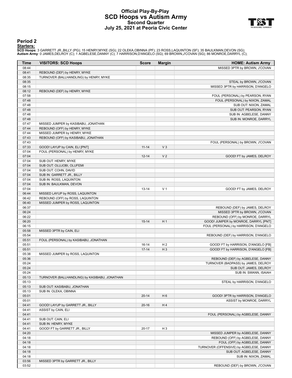### **Official Play-By-Play SCD Hoops vs Autism Army Second Quarter July 25, 2021 at Peoria Civic Center**



#### **Period 2**

<mark>Starters:</mark><br>SCD Hoops: 3 GARRETT JR.,BILLY (PG); 15 HENRY,MYKE (SG); 22 OLEKA,OBINNA (PF); 23 ROSS,LAQUINTON (SF); 35 BAULKMAN,DEVON (SG);<br>**Autism Army**: 0 JAMES,DELROY (C); 1 AGBELESE,DANNY (C); 7 HARRISON,D'ANGELO (SG);

| Time           | <b>VISITORS: SCD Hoops</b>                    | <b>Score</b> | <b>Margin</b>  | <b>HOME: Autism Army</b>                                                |
|----------------|-----------------------------------------------|--------------|----------------|-------------------------------------------------------------------------|
| 08:44          |                                               |              |                | MISSED 3PTR by BROWN, J'COVAN                                           |
| 08:41          | REBOUND (DEF) by HENRY, MYKE                  |              |                |                                                                         |
| 08:35          | TURNOVER (BALLHANDLING) by HENRY, MYKE        |              |                |                                                                         |
| 08:35          |                                               |              |                | STEAL by BROWN, J'COVAN                                                 |
| 08:15          |                                               |              |                | MISSED 3PTR by HARRISON, D'ANGELO                                       |
| 08:12          | REBOUND (DEF) by HENRY, MYKE                  |              |                |                                                                         |
| 07:58          |                                               |              |                | FOUL (PERSONAL) by PEARSON, RYAN                                        |
| 07:48          |                                               |              |                | FOUL (PERSONAL) by NIXON, ZAMAL                                         |
| 07:48          |                                               |              |                | SUB OUT: NIXON, ZAMAL                                                   |
| 07:48          |                                               |              |                | SUB OUT: PEARSON, RYAN                                                  |
| 07:48          |                                               |              |                | SUB IN: AGBELESE, DANNY                                                 |
| 07:48          |                                               |              |                | SUB IN: MONROE, DARRYL                                                  |
| 07:47          | MISSED JUMPER by KASIBABU, JONATHAN           |              |                |                                                                         |
| 07:44          | REBOUND (OFF) by HENRY, MYKE                  |              |                |                                                                         |
| 07:44          | MISSED JUMPER by HENRY, MYKE                  |              |                |                                                                         |
| 07:43<br>07:43 | REBOUND (OFF) by KASIBABU, JONATHAN           |              |                | FOUL (PERSONAL) by BROWN, J'COVAN                                       |
| 07:33          | GOOD! LAYUP by CAIN, ELI [PNT]                | $11 - 14$    | V <sub>3</sub> |                                                                         |
| 07:04          | FOUL (PERSONAL) by HENRY, MYKE                |              |                |                                                                         |
| 07:04          |                                               | $12 - 14$    | V <sub>2</sub> | GOOD! FT by JAMES, DELROY                                               |
| 07:04          | SUB OUT: HENRY, MYKE                          |              |                |                                                                         |
| 07:04          | SUB OUT: OLUJOBI, OLUFEMI                     |              |                |                                                                         |
| 07:04          | SUB OUT: COHN, DAVID                          |              |                |                                                                         |
| 07:04          | SUB IN: GARRETT JR., BILLY                    |              |                |                                                                         |
| 07:04          | SUB IN: ROSS, LAQUINTON                       |              |                |                                                                         |
| 07:04          | SUB IN: BAULKMAN, DEVON                       |              |                |                                                                         |
| 07:04          |                                               | $13 - 14$    | V <sub>1</sub> | GOOD! FT by JAMES, DELROY                                               |
| 06:44          | MISSED LAYUP by ROSS, LAQUINTON               |              |                |                                                                         |
| 06:42          | REBOUND (OFF) by ROSS, LAQUINTON              |              |                |                                                                         |
| 06:40          | MISSED JUMPER by ROSS, LAQUINTON              |              |                |                                                                         |
| 06:37          |                                               |              |                | REBOUND (DEF) by JAMES, DELROY                                          |
| 06:24          |                                               |              |                | MISSED 3PTR by BROWN, J'COVAN                                           |
| 06:22          |                                               |              |                | REBOUND (OFF) by MONROE, DARRYL                                         |
| 06:20          |                                               | $15 - 14$    | H <sub>1</sub> | GOOD! JUMPER by MONROE, DARRYL [PNT]                                    |
| 06:15          |                                               |              |                | FOUL (PERSONAL) by HARRISON, D'ANGELO                                   |
| 05:58          | MISSED 3PTR by CAIN, ELI                      |              |                |                                                                         |
| 05:54          |                                               |              |                | REBOUND (DEF) by HARRISON, D'ANGELO                                     |
| 05:51          | FOUL (PERSONAL) by KASIBABU, JONATHAN         |              |                |                                                                         |
| 05:51          |                                               | $16 - 14$    | H <sub>2</sub> | GOOD! FT by HARRISON, D'ANGELO [FB]                                     |
| 05:51          |                                               | $17 - 14$    | $H_3$          | GOOD! FT by HARRISON, D'ANGELO [FB]                                     |
| 05:38          | MISSED JUMPER by ROSS, LAQUINTON              |              |                |                                                                         |
| 05:36<br>05:24 |                                               |              |                | REBOUND (DEF) by AGBELESE, DANNY<br>TURNOVER (BADPASS) by JAMES, DELROY |
| 05:24          |                                               |              |                | SUB OUT: JAMES, DELROY                                                  |
| 05:24          |                                               |              |                | SUB IN: SWANN, ISAIAH                                                   |
| 05:13          | TURNOVER (BALLHANDLING) by KASIBABU, JONATHAN |              |                |                                                                         |
| 05:13          |                                               |              |                | STEAL by HARRISON, D'ANGELO                                             |
| 05:13          | SUB OUT: KASIBABU, JONATHAN                   |              |                |                                                                         |
| 05:13          | SUB IN: OLEKA, OBINNA                         |              |                |                                                                         |
| 05:01          |                                               | $20 - 14$    | H <sub>6</sub> | GOOD! 3PTR by HARRISON, D'ANGELO                                        |
| 05:01          |                                               |              |                | ASSIST by MONROE, DARRYL                                                |
| 04:41          | GOOD! LAYUP by GARRETT JR., BILLY             | $20 - 16$    | H4             |                                                                         |
| 04:41          | ASSIST by CAIN, ELI                           |              |                |                                                                         |
| 04:41          |                                               |              |                | FOUL (PERSONAL) by AGBELESE, DANNY                                      |
| 04:41          | SUB OUT: CAIN, ELI                            |              |                |                                                                         |
| 04:41          | SUB IN: HENRY, MYKE                           |              |                |                                                                         |
| 04:41          | GOOD! FT by GARRETT JR., BILLY                | 20-17        | H <sub>3</sub> |                                                                         |
| 04:20          |                                               |              |                | MISSED JUMPER by AGBELESE, DANNY                                        |
| 04:18          |                                               |              |                | REBOUND (OFF) by AGBELESE, DANNY                                        |
| 04:18          |                                               |              |                | FOUL (OFF) by AGBELESE, DANNY                                           |
| 04:18          |                                               |              |                | TURNOVER (OFFENSIVE) by AGBELESE, DANNY                                 |
| 04:18          |                                               |              |                | SUB OUT: AGBELESE, DANNY                                                |
| 04:18          |                                               |              |                | SUB IN: NIXON, ZAMAL                                                    |
| 03:56          | MISSED 3PTR by GARRETT JR., BILLY             |              |                |                                                                         |
| 03:52          |                                               |              |                | REBOUND (DEF) by BROWN, J'COVAN                                         |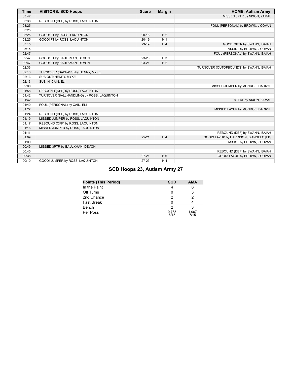| <b>Time</b> | <b>VISITORS: SCD Hoops</b>                 | <b>Score</b> | <b>Margin</b>  | <b>HOME: Autism Army</b>                |
|-------------|--------------------------------------------|--------------|----------------|-----------------------------------------|
| 03:42       |                                            |              |                | MISSED 3PTR by NIXON, ZAMAL             |
| 03:38       | REBOUND (DEF) by ROSS, LAQUINTON           |              |                |                                         |
| 03:25       |                                            |              |                | FOUL (PERSONAL) by BROWN, J'COVAN       |
| 03:25       |                                            |              |                |                                         |
| 03:25       | GOOD! FT by ROSS, LAQUINTON                | $20 - 18$    | H <sub>2</sub> |                                         |
| 03:25       | GOOD! FT by ROSS, LAQUINTON                | $20-19$      | H <sub>1</sub> |                                         |
| 03:15       |                                            | $23-19$      | H <sub>4</sub> | GOOD! 3PTR by SWANN, ISAIAH             |
| 03:15       |                                            |              |                | ASSIST by BROWN, J'COVAN                |
| 02:47       |                                            |              |                | FOUL (PERSONAL) by SWANN, ISAIAH        |
| 02:47       | GOOD! FT by BAULKMAN, DEVON                | 23-20        | $H_3$          |                                         |
| 02:47       | GOOD! FT by BAULKMAN, DEVON                | $23 - 21$    | H <sub>2</sub> |                                         |
| 02:33       |                                            |              |                | TURNOVER (OUTOFBOUNDS) by SWANN, ISAIAH |
| 02:13       | TURNOVER (BADPASS) by HENRY, MYKE          |              |                |                                         |
| 02:13       | SUB OUT: HENRY, MYKE                       |              |                |                                         |
| 02:13       | SUB IN: CAIN, ELI                          |              |                |                                         |
| 02:00       |                                            |              |                | MISSED JUMPER by MONROE, DARRYL         |
| 01:58       | REBOUND (DEF) by ROSS, LAQUINTON           |              |                |                                         |
| 01:42       | TURNOVER (BALLHANDLING) by ROSS, LAQUINTON |              |                |                                         |
| 01:42       |                                            |              |                | STEAL by NIXON, ZAMAL                   |
| 01:40       | FOUL (PERSONAL) by CAIN, ELI               |              |                |                                         |
| 01:27       |                                            |              |                | MISSED LAYUP by MONROE, DARRYL          |
| 01:24       | REBOUND (DEF) by ROSS, LAQUINTON           |              |                |                                         |
| 01:19       | MISSED JUMPER by ROSS, LAQUINTON           |              |                |                                         |
| 01:17       | REBOUND (OFF) by ROSS, LAQUINTON           |              |                |                                         |
| 01:16       | MISSED JUMPER by ROSS, LAQUINTON           |              |                |                                         |
| 01:11       |                                            |              |                | REBOUND (DEF) by SWANN, ISAIAH          |
| 01:09       |                                            | $25 - 21$    | H <sub>4</sub> | GOOD! LAYUP by HARRISON, D'ANGELO [FB]  |
| 01:09       |                                            |              |                | ASSIST by BROWN, J'COVAN                |
| 00:49       | MISSED 3PTR by BAULKMAN, DEVON             |              |                |                                         |
| 00:45       |                                            |              |                | REBOUND (DEF) by SWANN, ISAIAH          |
| 00:38       |                                            | $27 - 21$    | H <sub>6</sub> | GOOD! LAYUP by BROWN, J'COVAN           |
| 00:10       | GOOD! JUMPER by ROSS, LAQUINTON            | $27 - 23$    | H <sub>4</sub> |                                         |

# **SCD Hoops 23, Autism Army 27**

| <b>Points (This Period)</b> | <b>SCD</b>    | <b>AMA</b>    |
|-----------------------------|---------------|---------------|
| In the Paint                |               |               |
| Off Turns                   |               |               |
| 2nd Chance                  |               |               |
| <b>Fast Break</b>           |               |               |
| Bench                       |               |               |
| Per Poss                    | 0.733<br>6/15 | 1.067<br>7/15 |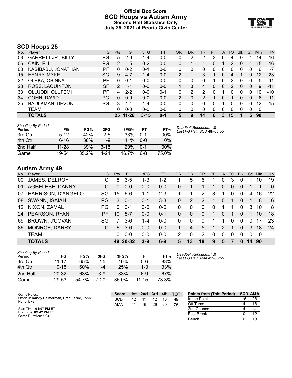#### **Official Box Score SCD Hoops vs Autism Army Second Half Statistics Only July 25, 2021 at Peoria Civic Center**



## **SCD Hoops 25**

| No. | Player                    | S         | <b>Pts</b>      | <b>FG</b> | 3FG      | <b>FT</b> | 0R | DR | TR       | <b>PF</b> | A        | TO | <b>Blk</b> | Stl      | Min | $+/-$ |
|-----|---------------------------|-----------|-----------------|-----------|----------|-----------|----|----|----------|-----------|----------|----|------------|----------|-----|-------|
| 03  | <b>GARRETT JR., BILLY</b> | PG        | 5               | $2 - 6$   | 1-4      | $0 - 0$   | 0  | 2  | 2        | 3         | 0        | 4  | 0          | 4        | 14  | $-16$ |
| 06  | CAIN, ELI                 | PG        | 2               | $1 - 5$   | $0 - 2$  | $0 - 0$   | 0  |    |          | 0         |          | 2  | 0          |          | 15  | $-16$ |
| 08  | KASIBABU, JONATHAN        | РF        | 0               | $0 - 2$   | $0 - 1$  | $0 - 0$   | 0  | 0  | 0        | 0         |          | 0  | O          |          | 6   | $-7$  |
| 15  | <b>HENRY, MYKE</b>        | SG        | 9               | $4 - 7$   | $1 - 4$  | $0 - 0$   | 2  |    | 3        |           | 0        | 4  |            | 0        | 12  | $-23$ |
| 22  | OLEKA, OBINNA             | РF        | 0               | 0-1       | $0 - 0$  | $0 - 0$   | 0  | 0  | 0        |           |          |    | n          | 0        | 5   | $-11$ |
| 23  | ROSS, LAQUINTON           | <b>SF</b> | $\overline{2}$  | $1 - 1$   | $0 - 0$  | $0 - 0$   |    | 3  | 4        | $\Omega$  | $\Omega$ | 2  | 0          | $\Omega$ | 9   | $-11$ |
| 33  | OLUJOBI, OLUFEMI          | РF        | 4               | $2 - 2$   | $0 - 0$  | $0 - 1$   | 0  | 2  | 2        | ∩         |          | 0  | 0          | 0        | 10  | $-10$ |
| 34  | COHN, DAVID               | PG        | 0               | $0 - 0$   | $0 - 0$  | $0 - 0$   | 2  | 0  | 2        |           | 0        |    | 0          | $\Omega$ | 6   | $-11$ |
| 35  | <b>BAULKMAN, DEVON</b>    | SG        | 3               | $1 - 4$   | $1 - 4$  | $0 - 0$   | 0  | 0  | $\Omega$ | 0         |          | 0  | 0          | 0        | 12  | $-15$ |
|     | TEAM                      |           | 0               | $0 - 0$   | $0 - 0$  | $0 - 0$   | 0  | 0  | 0        | 0         | $\Omega$ | 0  | 0          | 0        | 0   |       |
|     | <b>TOTALS</b>             |           | 25 <sub>1</sub> | $11 - 28$ | $3 - 15$ | $0 - 1$   | 5  | 9  | 14       | 6         |          | 15 |            | 5        | 90  |       |

| <b>Shooting By Period</b><br>Period | FG        | FG%   | 3FG      | 3FG%  | FТ      | FT%    | Dead<br>Last I |
|-------------------------------------|-----------|-------|----------|-------|---------|--------|----------------|
| 3rd Otr                             | $5 - 12$  | 42%   | 2-6      | 33%   | $0 - 1$ | 00%    |                |
| 4th Otr                             | $6 - 16$  | 38%   | $1 - 9$  | 11%   | $0 - 0$ | $0\%$  |                |
| 2nd Half                            | $11 - 28$ | 39%   | $3 - 15$ | 20%   | $0 - 1$ | $00\%$ |                |
| Game                                | 19-54     | 35.2% | 4-24     | 16.7% | հ-8     | 75.0%  |                |

*Deadball Rebounds:* 1,0 *Last FG Half:* SCD 4th-03:55

## **Autism Army 49**

| No. | Plaver                | S.        | Pts      | FG      | 3FG     | <b>FT</b> | <b>OR</b> | <b>DR</b> | TR            | <b>PF</b> | A        | TO       | <b>Blk</b> | Stl      | Min  | $+/-$          |
|-----|-----------------------|-----------|----------|---------|---------|-----------|-----------|-----------|---------------|-----------|----------|----------|------------|----------|------|----------------|
| 00  | JAMES, DELROY         | C         | 8        | 3-5     | 1-3     | $1 - 2$   |           | 5         | 6             |           | 0        | 3        |            |          | 10   | 19             |
| 01  | AGBELESE, DANNY       | C         | $\Omega$ | $0 - 0$ | $0 - 0$ | $0 - 0$   | 0         |           |               |           | 0        | $\Omega$ | $\Omega$   |          |      | $\overline{0}$ |
| 07  | HARRISON, D'ANGELO    | SG        | 15       | $6 - 6$ | $1 - 1$ | $2 - 3$   |           |           | 2             | 3         | 1        | $\Omega$ | $\Omega$   | 4        | 16   | 22             |
| 08  | SWANN, ISAIAH         | <b>PG</b> | 3        | $0 - 1$ | $0 - 1$ | $3 - 3$   | $\Omega$  | 2         | $\mathcal{P}$ |           | 0        |          | $\Omega$   |          | 8    | -6             |
| 12  | NIXON, ZAMAL          | PG        | 0        | $0 - 1$ | $0 - 0$ | $0 - 0$   | 0         | $\Omega$  | 0             | $\Omega$  | 1        | 1        | $\Omega$   | 3        | 10   | -8             |
| 24  | PEARSON, RYAN         | PF        | 10       | $5 - 7$ | $0 - 0$ | $0 - 1$   | 0         | $\Omega$  | $\Omega$      |           | 0        |          | $\Omega$   |          | 10   | 18             |
| 69  | <b>BROWN, J'COVAN</b> | SG        |          | $3-6$   | 1-4     | $0-0$     | 0         | $\Omega$  | 0             |           |          | 0        | $\Omega$   | 0        | 17   | 23             |
| 86  | MONROE, DARRYL        | C         | 6        | $3-6$   | $0 - 0$ | $0 - 0$   |           | 4         | 5             |           | 2        |          | 0          | 3        | 18   | 24             |
|     | <b>TEAM</b>           |           | 0        | $0 - 0$ | $0 - 0$ | $0-0$     | 2         | $\Omega$  | $\mathcal{P}$ | $\Omega$  | $\Omega$ | $\Omega$ | $\Omega$   | $\Omega$ | - 0  |                |
|     | <b>TOTALS</b>         |           | 49       | 20-32   | 3-9     | $6-9$     | 5         | 13        | 18            | 9         | 5        |          | $\bf{0}$   | 14       | - 90 |                |

| <b>Shooting By Period</b><br>Period | FG        | FG%   | 3FG     | 3FG%  | FT        | FT%   | De<br>La |
|-------------------------------------|-----------|-------|---------|-------|-----------|-------|----------|
| 3rd Otr                             | $11 - 17$ | 65%   | $2 - 5$ | 40%   | 5-6       | 83%   |          |
| 4th Otr                             | $9 - 15$  | 60%   | $1 - 4$ | 25%   | $1 - 3$   | 33%   |          |
| 2nd Half                            | $20 - 32$ | 63%   | $3-9$   | 33%   | 6-9       | 67%   |          |
| Game                                | 29-53     | 54.7% | 7-20    | 35.0% | $11 - 15$ | 73.3% |          |

*Deadball Rebounds:* 1,0 *Last FG Half:* AMA 4th-03:55

| Game Notes:                                                       | <b>Score</b> | 1st | 2nd | - 3rd | 4th | <b>TOT</b> | <b>Points from (This Period)</b> | <b>SCD AMA</b> |    |
|-------------------------------------------------------------------|--------------|-----|-----|-------|-----|------------|----------------------------------|----------------|----|
| Officials: Randy Heimerman, Brad Ferrie, John<br><b>Hendricks</b> | <b>SCD</b>   |     |     | 12    |     | 48         | In the Paint                     | 16             | 28 |
|                                                                   | AMA          |     | 16  | 29    | 20  | 76         | Off Turns                        |                |    |
| Start Time: 01:07 PM ET                                           |              |     |     |       |     |            | 2nd Chance                       |                |    |
| End Time: 02:42 PM ET<br>Game Duration: 1:34                      |              |     |     |       |     |            | <b>Fast Break</b>                |                |    |
|                                                                   |              |     |     |       |     |            | Bench                            |                |    |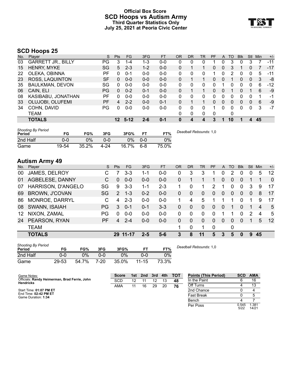### **Official Box Score SCD Hoops vs Autism Army Third Quarter Statistics Only July 25, 2021 at Peoria Civic Center**



# **SCD Hoops 25**

| No. | Plaver                    | S   | <b>Pts</b>      | <b>FG</b> | 3FG     | <b>FT</b> | <b>OR</b> | <b>DR</b> | TR | <b>PF</b> | A            | TO | <b>Blk</b> | Stl            | Min | $+/-$ |
|-----|---------------------------|-----|-----------------|-----------|---------|-----------|-----------|-----------|----|-----------|--------------|----|------------|----------------|-----|-------|
| 03  | <b>GARRETT JR., BILLY</b> | PG  | 3               | $1 - 4$   | 1-3     | $0 - 0$   | 0         | 0         | 0  |           | 0            | 3  | 0          | 3              |     | $-11$ |
| 15  | HENRY, MYKE               | SG  | 5               | $2 - 3$   | $1 - 2$ | $0-0$     | 0         |           |    | $\Omega$  | $\mathbf{0}$ | 3  |            | 0              |     | $-17$ |
| 22  | OLEKA, OBINNA             | РF  | 0               | $0 - 1$   | $0 - 0$ | $0 - 0$   | 0         | 0         | 0  |           | 0            | 2  | 0          | 0              | 5   | $-11$ |
| 23  | ROSS, LAQUINTON           | SF  | 0               | $0 - 0$   | $0 - 0$ | $0 - 0$   | 0         |           |    | 0         | $\Omega$     |    | 0          | $\Omega$       | 3   | -8    |
| 35  | <b>BAULKMAN, DEVON</b>    | SG  | 0               | $0 - 0$   | $0-0$   | $0 - 0$   | 0         | 0         | 0  | O         |              | 0  | 0          | 0              | 6   | $-12$ |
| 06  | CAIN, ELI                 | PG. | 0               | $0 - 2$   | $0 - 1$ | $0 - 0$   | 0         |           |    | 0         | $\mathbf{0}$ |    | 0          |                | 6   | -9    |
| 08  | KASIBABU, JONATHAN        | РF  | 0               | $0 - 0$   | $0 - 0$ | $0 - 0$   | 0         | 0         | 0  | 0         | 0            | 0  | 0          | 0              | 1   | -1    |
| 33  | OLUJOBI, OLUFEMI          | PF  | 4               | $2 - 2$   | $0 - 0$ | $0 - 1$   | 0         |           |    | 0         | $\mathbf{0}$ | 0  | 0          | $\Omega$       | 6   | -9    |
| 34  | COHN, DAVID               | PG  | 0               | $0 - 0$   | $0-0$   | $0 - 0$   | 0         | 0         | 0  |           | 0            | 0  | 0          | 0              | 3   | $-7$  |
|     | TEAM                      |     |                 |           |         |           | 0         | 0         | 0  | 0         |              | 0  |            |                |     |       |
|     | <b>TOTALS</b>             |     | 12 <sup>1</sup> | $5-12$    | $2 - 6$ | $0 - 1$   |           | 4         | 4  | 3         |              | 10 |            | $\overline{4}$ | 45  |       |

| <b>Shooting By Period</b><br>Period | FG    | FG%   | 3FG  | 3FG%  |         | FT%   | Deadball Rebounds: 1,0 |
|-------------------------------------|-------|-------|------|-------|---------|-------|------------------------|
| 2nd Half                            | 0-0   | 0%    | 0-0  | ገ%    | $0 - 0$ | 0%    |                        |
| Game                                | 19-54 | 35.2% | 4-24 | 16.7% | $6 - 8$ | 75.0% |                        |

# **Autism Army 49**

| No. | Plaver                | S         | <b>Pts</b>    | FG       | 3FG     | <b>FT</b> | <b>OR</b> | DR       | TR       | <b>PF</b> | A        | TO       | <b>Blk</b> | Stl            | Min | $+/-$    |
|-----|-----------------------|-----------|---------------|----------|---------|-----------|-----------|----------|----------|-----------|----------|----------|------------|----------------|-----|----------|
| 00  | JAMES, DELROY         |           |               | 3-3      | $1 - 1$ | $0 - 0$   | 0         | 3        | 3        |           | 0        | 2        | 0          | 0              | 5   | 12       |
| 01  | AGBELESE, DANNY       | С         | 0             | $0 - 0$  | $0 - 0$ | $0 - 0$   | 0         |          |          |           | 0        | 0        | $\Omega$   |                |     | $\Omega$ |
| 07  | HARRISON, D'ANGELO    | SG        | 9             | $3 - 3$  | 1-1     | $2 - 3$   |           | 0        |          | 2         |          | 0        | $\Omega$   | 3              | 9   | 17       |
| 69  | <b>BROWN, J'COVAN</b> | SG.       | $\mathcal{P}$ | $1 - 3$  | $0 - 2$ | $0 - 0$   | $\Omega$  | 0        | $\Omega$ | 0         | 0        | $\Omega$ | $\Omega$   | $\overline{0}$ | 8   | 17       |
| 86  | MONROE, DARRYL        | C.        | 4             | $2 - 3$  | $0-0$   | $0 - 0$   |           | 4        | 5        |           |          |          | $\Omega$   |                | 9   | 17       |
| 08  | SWANN, ISAIAH         | PG        | 3             | $0 - 1$  | $0 - 1$ | $3 - 3$   | $\Omega$  | $\Omega$ | $\Omega$ | $\Omega$  | $\Omega$ |          | $\Omega$   |                | 4   | 5        |
| 12  | NIXON, ZAMAL          | PG        | 0             | $0 - 0$  | $0 - 0$ | $0-0$     | 0         | 0        | $\Omega$ | 0         |          |          | $\Omega$   | 2              | 4   | 5        |
| 24  | PEARSON, RYAN         | <b>PF</b> | 4             | $2 - 4$  | $0 - 0$ | $0 - 0$   | 0         | $\Omega$ | $\Omega$ | $\Omega$  | $\Omega$ | $\Omega$ | $\Omega$   |                | 5   | 12       |
|     | <b>TEAM</b>           |           |               |          |         |           | 1.        | 0        |          | 0         |          | 0        |            |                |     |          |
|     | <b>TOTALS</b>         |           |               | 29 11-17 | 2-5     | $5 - 6$   | 3         | 8        | 11       | 5         | 3        | 5        | $\bf{0}$   | 9              | 45  |          |

| <b>Shooting By Period</b><br>Period | FG    | FG%   | 3FG  | 3FG%  |           | FT%   |
|-------------------------------------|-------|-------|------|-------|-----------|-------|
| 2nd Half                            | 0-0   | 0%    | ი-ი  | 9%    | 0-0       | $0\%$ |
| Game                                | 29-53 | 54.7% | 7-20 | 35.0% | $11 - 15$ | 73.3% |

*Deadball Rebounds:* 1,0

Per Poss

5/22 1.381 14/21

| Game Notes:                                                       | <b>Score</b> | 1st | 2nd | 3rd | 4th | <b>TOT</b> | <b>Points (This Period)</b> | <b>SCD</b> | <b>AMA</b> |
|-------------------------------------------------------------------|--------------|-----|-----|-----|-----|------------|-----------------------------|------------|------------|
| Officials: Randy Heimerman, Brad Ferrie, John<br><b>Hendricks</b> | <b>SCD</b>   |     |     |     |     | 48         | In the Paint                |            | 16         |
|                                                                   | AMA          | 11  | 16  | 29  | 20  | 76         | Off Turns                   |            |            |
| Start Time: 01:07 PM ET                                           |              |     |     |     |     |            | 2nd Chance                  |            |            |
| End Time: 02:42 PM ET<br>Game Duration: 1:34                      |              |     |     |     |     |            | <b>Fast Break</b>           |            |            |
|                                                                   |              |     |     |     |     |            | Bench                       |            |            |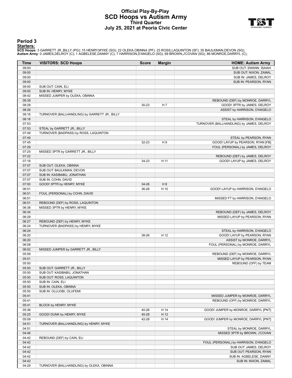#### **Official Play-By-Play SCD Hoops vs Autism Army Third Quarter July 25, 2021 at Peoria Civic Center**



#### **Period 3**

<mark>Starters:</mark><br>SCD Hoops: 3 GARRETT JR.,BILLY (PG); 15 HENRY,MYKE (SG); 22 OLEKA,OBINNA (PF); 23 ROSS,LAQUINTON (SF); 35 BAULKMAN,DEVON (SG);<br>**Autism Army**: 0 JAMES,DELROY (C); 1 AGBELESE,DANNY (C); 7 HARRISON,D'ANGELO (SG);

| Time           | <b>VISITORS: SCD Hoops</b>                    | Score     | <b>Margin</b>  | <b>HOME: Autism Army</b>                                      |
|----------------|-----------------------------------------------|-----------|----------------|---------------------------------------------------------------|
| 09:00          |                                               |           |                | SUB OUT: SWANN, ISAIAH                                        |
| 09:00          |                                               |           |                | SUB OUT: NIXON, ZAMAL                                         |
| 09:00          |                                               |           |                | SUB IN: JAMES, DELROY                                         |
| 09:00          |                                               |           |                | SUB IN: PEARSON, RYAN                                         |
| 09:00          | SUB OUT: CAIN, ELI                            |           |                |                                                               |
| 09:00          | SUB IN: HENRY, MYKE                           |           |                |                                                               |
| 08:42          | MISSED JUMPER by OLEKA, OBINNA                |           |                |                                                               |
| 08:39          |                                               |           |                | REBOUND (DEF) by MONROE, DARRYL                               |
| 08:28          |                                               | $30 - 23$ | H <sub>7</sub> | GOOD! 3PTR by JAMES, DELROY                                   |
| 08:28          |                                               |           |                | ASSIST by HARRISON, D'ANGELO                                  |
| 08:16          | TURNOVER (BALLHANDLING) by GARRETT JR., BILLY |           |                |                                                               |
| 08:16          |                                               |           |                | STEAL by HARRISON, D'ANGELO                                   |
| 07:53          |                                               |           |                | TURNOVER (BALLHANDLING) by JAMES, DELROY                      |
| 07:53          | STEAL by GARRETT JR., BILLY                   |           |                |                                                               |
| 07:49          | TURNOVER (BADPASS) by ROSS, LAQUINTON         |           |                |                                                               |
| 07:49          |                                               |           |                | STEAL by PEARSON, RYAN                                        |
| 07:45          |                                               | 32-23     | H9             | GOOD! LAYUP by PEARSON, RYAN [FB]                             |
| 07:29          |                                               |           |                | FOUL (PERSONAL) by JAMES, DELROY                              |
| 07:25          | MISSED 3PTR by GARRETT JR., BILLY             |           |                |                                                               |
| 07:22          |                                               |           |                | REBOUND (DEF) by JAMES, DELROY                                |
| 07:16          |                                               | 34-23     | H 11           | GOOD! LAYUP by JAMES, DELROY                                  |
| 07:07          | SUB OUT: OLEKA, OBINNA                        |           |                |                                                               |
| 07:07          | SUB OUT: BAULKMAN, DEVON                      |           |                |                                                               |
| 07:07          | SUB IN: KASIBABU, JONATHAN                    |           |                |                                                               |
| 07:07          | SUB IN: COHN, DAVID                           |           |                |                                                               |
| 07:00          | GOOD! 3PTR by HENRY, MYKE                     | 34-26     | H <sub>8</sub> |                                                               |
| 06:51          |                                               | 36-26     | H 10           | GOOD! LAYUP by HARRISON, D'ANGELO                             |
| 06:51          | FOUL (PERSONAL) by COHN, DAVID                |           |                |                                                               |
| 06:51          |                                               |           |                | MISSED FT by HARRISON, D'ANGELO                               |
| 06:51          | REBOUND (DEF) by ROSS, LAQUINTON              |           |                |                                                               |
| 06:38          | MISSED 3PTR by HENRY, MYKE                    |           |                |                                                               |
| 06:34          |                                               |           |                | REBOUND (DEF) by JAMES, DELROY                                |
| 06:29          |                                               |           |                | MISSED LAYUP by PEARSON, RYAN                                 |
| 06:27          | REBOUND (DEF) by HENRY, MYKE                  |           |                |                                                               |
| 06:24          | TURNOVER (BADPASS) by HENRY, MYKE             |           |                |                                                               |
| 06:24          |                                               |           |                | STEAL by HARRISON, D'ANGELO                                   |
| 06:20          |                                               | 38-26     | H 12           | GOOD! LAYUP by PEARSON, RYAN                                  |
| 06:20<br>06:08 |                                               |           |                | ASSIST by MONROE, DARRYL<br>FOUL (PERSONAL) by MONROE, DARRYL |
| 06:02          |                                               |           |                |                                                               |
| 05:59          | MISSED JUMPER by GARRETT JR., BILLY           |           |                | REBOUND (DEF) by MONROE, DARRYL                               |
| 05:51          |                                               |           |                | MISSED LAYUP by PEARSON, RYAN                                 |
| 05:50          |                                               |           |                | REBOUND (OFF) by TEAM                                         |
| 05:50          | SUB OUT: GARRETT JR., BILLY                   |           |                |                                                               |
| 05:50          | SUB OUT: KASIBABU, JONATHAN                   |           |                |                                                               |
| 05:50          | SUB OUT: ROSS, LAQUINTON                      |           |                |                                                               |
| 05:50          | SUB IN: CAIN, ELI                             |           |                |                                                               |
| 05:50          | SUB IN: OLEKA, OBINNA                         |           |                |                                                               |
| 05:50          | SUB IN: OLUJOBI, OLUFEMI                      |           |                |                                                               |
| 05:41          |                                               |           |                | MISSED JUMPER by MONROE, DARRYL                               |
| 05:41          |                                               |           |                | REBOUND (OFF) by MONROE, DARRYL                               |
| 05:41          | BLOCK by HENRY, MYKE                          |           |                |                                                               |
| 05:36          |                                               | 40-26     | H 14           | GOOD! JUMPER by MONROE, DARRYL [PNT]                          |
| 05:25          | GOOD! DUNK by HENRY, MYKE                     | 40-28     | H 12           |                                                               |
| 05:09          |                                               | 42-28     | H 14           | GOOD! JUMPER by MONROE, DARRYL [PNT]                          |
| 04:51          | TURNOVER (BALLHANDLING) by HENRY, MYKE        |           |                |                                                               |
| 04:51          |                                               |           |                | STEAL by MONROE, DARRYL                                       |
| 04:46          |                                               |           |                | MISSED 3PTR by BROWN, J'COVAN                                 |
| 04:42          | REBOUND (DEF) by CAIN, ELI                    |           |                |                                                               |
| 04:42          |                                               |           |                | FOUL (PERSONAL) by HARRISON, D'ANGELO                         |
| 04:42          |                                               |           |                | SUB OUT: JAMES, DELROY                                        |
| 04:42          |                                               |           |                | SUB OUT: PEARSON, RYAN                                        |
| 04:42          |                                               |           |                | SUB IN: AGBELESE, DANNY                                       |
| 04:42          |                                               |           |                | SUB IN: NIXON, ZAMAL                                          |
| 04:29          | TURNOVER (BALLHANDLING) by OLEKA, OBINNA      |           |                |                                                               |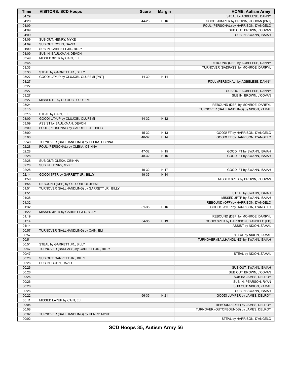| Time  | <b>VISITORS: SCD Hoops</b>                    | <b>Score</b> | <b>Margin</b> | <b>HOME: Autism Army</b>                 |
|-------|-----------------------------------------------|--------------|---------------|------------------------------------------|
| 04:29 |                                               |              |               | STEAL by AGBELESE, DANNY                 |
| 04:20 |                                               | 44-28        | H 16          | GOOD! JUMPER by BROWN, J'COVAN [PNT]     |
| 04:09 |                                               |              |               | FOUL (PERSONAL) by HARRISON, D'ANGELO    |
| 04:09 |                                               |              |               | SUB OUT: BROWN, J'COVAN                  |
| 04:09 |                                               |              |               | SUB IN: SWANN, ISAIAH                    |
| 04:09 | SUB OUT: HENRY, MYKE                          |              |               |                                          |
| 04:09 | SUB OUT: COHN, DAVID                          |              |               |                                          |
| 04:09 | SUB IN: GARRETT JR., BILLY                    |              |               |                                          |
| 04:09 | SUB IN: BAULKMAN, DEVON                       |              |               |                                          |
| 03:49 | MISSED 3PTR by CAIN, ELI                      |              |               |                                          |
| 03:45 |                                               |              |               | REBOUND (DEF) by AGBELESE, DANNY         |
| 03:33 |                                               |              |               | TURNOVER (BADPASS) by MONROE, DARRYL     |
| 03:33 | STEAL by GARRETT JR., BILLY                   |              |               |                                          |
| 03:27 | GOOD! LAYUP by OLUJOBI, OLUFEMI [PNT]         | 44-30        | H 14          |                                          |
| 03:27 |                                               |              |               | FOUL (PERSONAL) by AGBELESE, DANNY       |
| 03:27 |                                               |              |               |                                          |
| 03:27 |                                               |              |               | SUB OUT: AGBELESE, DANNY                 |
| 03:27 |                                               |              |               | SUB IN: BROWN, J'COVAN                   |
| 03:27 | MISSED FT by OLUJOBI, OLUFEMI                 |              |               |                                          |
| 03:24 |                                               |              |               | REBOUND (DEF) by MONROE, DARRYL          |
| 03:15 |                                               |              |               | TURNOVER (BALLHANDLING) by NIXON, ZAMAL  |
| 03:15 | STEAL by CAIN, ELI                            |              |               |                                          |
| 03:09 | GOOD! LAYUP by OLUJOBI, OLUFEMI               | 44-32        | H 12          |                                          |
| 03:09 | ASSIST by BAULKMAN, DEVON                     |              |               |                                          |
| 03:00 | FOUL (PERSONAL) by GARRETT JR., BILLY         |              |               |                                          |
| 03:00 |                                               | 45-32        | H 13          | GOOD! FT by HARRISON, D'ANGELO           |
| 03:00 |                                               | 46-32        | H 14          | GOOD! FT by HARRISON, D'ANGELO           |
| 02:40 | TURNOVER (BALLHANDLING) by OLEKA, OBINNA      |              |               |                                          |
| 02:28 | FOUL (PERSONAL) by OLEKA, OBINNA              |              |               |                                          |
| 02:28 |                                               | 47-32        | H 15          | GOOD! FT by SWANN, ISAIAH                |
| 02:28 |                                               | 48-32        | H 16          | GOOD! FT by SWANN, ISAIAH                |
| 02:28 | SUB OUT: OLEKA, OBINNA                        |              |               |                                          |
| 02:28 | SUB IN: HENRY, MYKE                           |              |               |                                          |
| 02:28 |                                               | 49-32        | H 17          | GOOD! FT by SWANN, ISAIAH                |
| 02:14 | GOOD! 3PTR by GARRETT JR., BILLY              | 49-35        | H 14          |                                          |
| 01:59 |                                               |              |               | MISSED 3PTR by BROWN, J'COVAN            |
| 01:56 | REBOUND (DEF) by OLUJOBI, OLUFEMI             |              |               |                                          |
| 01:51 | TURNOVER (BALLHANDLING) by GARRETT JR., BILLY |              |               |                                          |
| 01:51 |                                               |              |               | STEAL by SWANN, ISAIAH                   |
| 01:38 |                                               |              |               | MISSED 3PTR by SWANN, ISAIAH             |
| 01:32 |                                               |              |               | REBOUND (OFF) by HARRISON, D'ANGELO      |
| 01:32 |                                               | 51-35        | H 16          | GOOD! LAYUP by HARRISON, D'ANGELO        |
| 01:22 | MISSED 3PTR by GARRETT JR., BILLY             |              |               |                                          |
| 01:19 |                                               |              |               | REBOUND (DEF) by MONROE, DARRYL          |
|       |                                               | 54-35        | H 19          |                                          |
| 01:14 |                                               |              |               | GOOD! 3PTR by HARRISON, D'ANGELO [FB]    |
| 01:14 |                                               |              |               | ASSIST by NIXON, ZAMAL                   |
| 00:57 | TURNOVER (BALLHANDLING) by CAIN, ELI          |              |               |                                          |
| 00:57 |                                               |              |               | STEAL by NIXON, ZAMAL                    |
| 00:51 |                                               |              |               | TURNOVER (BALLHANDLING) by SWANN, ISAIAH |
| 00:51 | STEAL by GARRETT JR., BILLY                   |              |               |                                          |
| 00:47 | TURNOVER (BADPASS) by GARRETT JR., BILLY      |              |               |                                          |
| 00:47 |                                               |              |               | STEAL by NIXON, ZAMAL                    |
| 00:26 | SUB OUT: GARRETT JR., BILLY                   |              |               |                                          |
| 00:26 | SUB IN: COHN, DAVID                           |              |               |                                          |
| 00:26 |                                               |              |               | SUB OUT: SWANN, ISAIAH                   |
| 00:26 |                                               |              |               | SUB OUT: BROWN, J'COVAN                  |
| 00:26 |                                               |              |               | SUB IN: JAMES, DELROY                    |
| 00:26 |                                               |              |               | SUB IN: PEARSON, RYAN                    |
| 00:26 |                                               |              |               | SUB OUT: NIXON, ZAMAL                    |
| 00:26 |                                               |              |               | SUB IN: SWANN, ISAIAH                    |
| 00:22 |                                               | 56-35        | H 21          | GOOD! JUMPER by JAMES, DELROY            |
| 00:11 | MISSED LAYUP by CAIN, ELI                     |              |               |                                          |
| 00:08 |                                               |              |               | REBOUND (DEF) by JAMES, DELROY           |
| 00:08 |                                               |              |               | TURNOVER (OUTOFBOUNDS) by JAMES, DELROY  |
| 00:02 | TURNOVER (BALLHANDLING) by HENRY, MYKE        |              |               |                                          |
| 00:02 |                                               |              |               | STEAL by HARRISON, D'ANGELO              |

**SCD Hoops 35, Autism Army 56**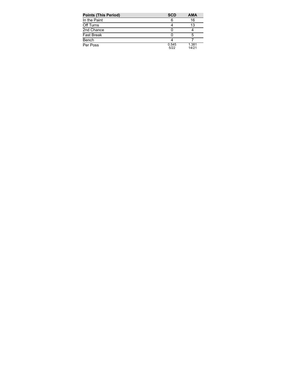| <b>Points (This Period)</b> | <b>SCD</b>    | <b>AMA</b>     |
|-----------------------------|---------------|----------------|
| In the Paint                |               | 16             |
| Off Turns                   |               | 13             |
| 2nd Chance                  |               |                |
| <b>Fast Break</b>           |               | 5              |
| Bench                       |               |                |
| Per Poss                    | 0.545<br>5/22 | 1.381<br>14/21 |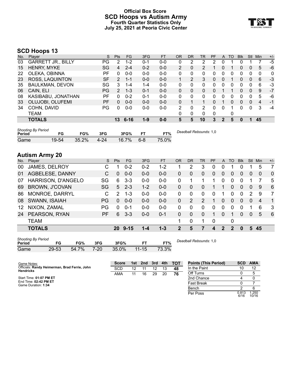#### **Official Box Score SCD Hoops vs Autism Army Fourth Quarter Statistics Only July 25, 2021 at Peoria Civic Center**



# **SCD Hoops 13**

| No. | Player                    | S  | <b>Pts</b>     | <b>FG</b> | 3FG     | <b>FT</b> | 0R             | <b>DR</b> | TR             | <b>PF</b> | A            | TO | <b>B</b> lk | Stl            | Min | $+/-$ |
|-----|---------------------------|----|----------------|-----------|---------|-----------|----------------|-----------|----------------|-----------|--------------|----|-------------|----------------|-----|-------|
| 03  | <b>GARRETT JR., BILLY</b> | PG | $\overline{2}$ | $1 - 2$   | $0 - 1$ | $0 - 0$   | 0              | 2         | 2              | 2         | $\Omega$     |    | 0           |                |     | $-5$  |
| 15  | <b>HENRY, MYKE</b>        | SG | 4              | $2 - 4$   | $0 - 2$ | $0 - 0$   | $\overline{2}$ | 0         | $\overline{2}$ |           | 0            |    | 0           | $\overline{0}$ | 5   | -6    |
| 22  | OLEKA, OBINNA             | РF | 0              | $0 - 0$   | $0 - 0$ | $0 - 0$   | 0              | 0         | 0              | 0         | $\Omega$     | 0  | 0           | 0              | 0   | 0     |
| 23  | ROSS, LAQUINTON           | SF | 2              | $1 - 1$   | $0 - 0$ | $0 - 0$   |                | 2         | 3              | $\Omega$  | $\mathbf{0}$ |    | 0           | $\Omega$       | 6   | $-3$  |
| 35  | <b>BAULKMAN, DEVON</b>    | SG | 3              | $1 - 4$   | $1 - 4$ | $0 - 0$   | 0              | 0         | 0              | 0         | $\Omega$     | 0  | 0           | 0              | 6   | $-3$  |
| 06  | CAIN, ELI                 | PG | 2              | $1 - 3$   | $0 - 1$ | $0 - 0$   | 0              | $\Omega$  | 0              | $\Omega$  |              |    | 0           | $\Omega$       | 9   | $-7$  |
| 08  | KASIBABU, JONATHAN        | РF | 0              | $0 - 2$   | $0 - 1$ | $0 - 0$   | 0              | 0         | 0              | 0         | $\Omega$     | 0  | 0           | 0              | 5   | -6    |
| 33  | OLUJOBI, OLUFEMI          | PF | 0              | $0 - 0$   | $0 - 0$ | $0 - 0$   | 0              |           |                | 0         |              | 0  | 0           | $\Omega$       | 4   | $-1$  |
| 34  | COHN, DAVID               | PG | 0              | $0 - 0$   | $0-0$   | $0 - 0$   | 2              | 0         | 2              | $\Omega$  | $\Omega$     |    | 0           | 0              | 3   | -4    |
|     | <b>TEAM</b>               |    |                |           |         |           | 0              | 0         | 0              | 0         |              | 0  |             |                |     |       |
|     | <b>TOTALS</b>             |    | 13             | $6 - 16$  | $1 - 9$ | $0 - 0$   | 5              | 5         | 10             | 3         | 2            | 5  | 0           |                | 45  |       |
|     |                           |    |                |           |         |           |                |           |                |           |              |    |             |                |     |       |

| <b>Shooting By Period</b><br>Period |           | FG%   | 3FG      | 3FG%  |         | FT%   | Deadball Rebounds: 1,0 |
|-------------------------------------|-----------|-------|----------|-------|---------|-------|------------------------|
| Game                                | $19 - 54$ | 35.2% | $4 - 24$ | 16.7% | $6 - 8$ | 75.0% |                        |

## **Autism Army 20**

| No. | Player                | S         | <b>Pts</b>    | FG      | 3FG     | <b>FT</b> | <b>OR</b>      | DR       | <b>TR</b> | PF | A             | TO       | <b>Blk</b>     | Stl            | Min            | $+/-$          |
|-----|-----------------------|-----------|---------------|---------|---------|-----------|----------------|----------|-----------|----|---------------|----------|----------------|----------------|----------------|----------------|
| 00  | JAMES, DELROY         | С         |               | $0 - 2$ | $0 - 2$ | $1 - 2$   |                | 2        | 3         | 0  | 0             |          | 0              |                | 5              | 7              |
| 01  | AGBELESE, DANNY       | С         | 0             | $0 - 0$ | $0 - 0$ | $0-0$     | 0              | 0        | 0         | 0  | 0             | 0        | 0              | 0              | 0              | $\mathbf 0$    |
| 07  | HARRISON, D'ANGELO    | SG        | 6             | $3 - 3$ | $0 - 0$ | $0-0$     | 0              |          |           |    | 0             | 0        | $\Omega$       |                |                | 5              |
| 69  | <b>BROWN, J'COVAN</b> | SG        | 5             | $2 - 3$ | $1 - 2$ | $0 - 0$   | 0              | $\Omega$ | $\Omega$  |    | 1             | $\Omega$ | $\overline{0}$ | $\overline{0}$ | 9              | 6              |
| 86  | MONROE, DARRYL        | С         | $\mathcal{P}$ | $1 - 3$ | $0 - 0$ | $0 - 0$   | 0              | 0        | $\Omega$  | 0  |               | O        | $\Omega$       | 2              | 9              | 7              |
| 08  | SWANN, ISAIAH         | <b>PG</b> | $\Omega$      | $0 - 0$ | $0 - 0$ | $0 - 0$   | 0              | 2        | 2         |    | 0             | $\Omega$ | $\Omega$       | $\overline{0}$ | $\overline{4}$ | $\overline{1}$ |
| 12  | NIXON, ZAMAL          | PG        | $\Omega$      | $0 - 1$ | $0 - 0$ | $0 - 0$   | 0              | $\Omega$ | $\Omega$  | 0  | $\Omega$      | $\Omega$ | $\Omega$       |                | 6              | 3              |
| 24  | PEARSON, RYAN         | <b>PF</b> | 6             | $3 - 3$ | $0 - 0$ | $0 - 1$   | 0              | $\Omega$ | $\Omega$  | 1  | 0             |          | 0              | $\Omega$       | 5              | - 6            |
|     | <b>TEAM</b>           |           |               |         |         |           | 1              | 0        |           | 0  |               | 0        |                |                |                |                |
|     | <b>TOTALS</b>         |           |               | 20 9-15 | 1-4     | $1 - 3$   | $\overline{2}$ | 5        | 7         | 4  | $\mathcal{P}$ | 2        | $\bf{0}$       | 5.             | 45             |                |
|     |                       |           |               |         |         |           |                |          |           |    |               |          |                |                |                |                |

| Shooting By Period |           |       |          |       |           |       |
|--------------------|-----------|-------|----------|-------|-----------|-------|
| Period             | FG        | FG%   | 3FG      | 3FG%  |           | FT%   |
| Game               | $29 - 53$ | 54.7% | $7 - 20$ | 35.0% | $11 - 15$ | 73.3% |

*Deadball Rebounds:* 1,0

| Game Notes:                                                       | <b>Score</b> |    | 1st 2nd | 3rd | 4th | <b>- тот</b> | <b>Points (This Period)</b> | <b>SCD</b>    | <b>AMA</b>     |
|-------------------------------------------------------------------|--------------|----|---------|-----|-----|--------------|-----------------------------|---------------|----------------|
| Officials: Randy Heimerman, Brad Ferrie, John<br><b>Hendricks</b> | <b>SCD</b>   | 12 |         | 12  | 13  | 48           | In the Paint                | 10            | 12             |
|                                                                   | AMA          |    | 16      | 29  | 20  | 76           | Off Turns                   |               |                |
| Start Time: 01:07 PM ET                                           |              |    |         |     |     |              | 2nd Chance                  |               |                |
| End Time: 02:42 PM ET<br>Game Duration: 1:34                      |              |    |         |     |     |              | <b>Fast Break</b>           |               |                |
|                                                                   |              |    |         |     |     |              | Bench                       |               | 6              |
|                                                                   |              |    |         |     |     |              | Per Poss                    | 0.813<br>6/16 | 1.250<br>10/16 |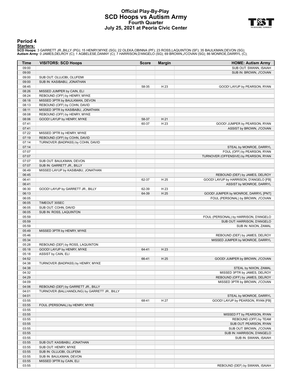### **Official Play-By-Play SCD Hoops vs Autism Army Fourth Quarter July 25, 2021 at Peoria Civic Center**



#### **Period 4**

<mark>Starters:</mark><br>SCD Hoops: 3 GARRETT JR.,BILLY (PG); 15 HENRY,MYKE (SG); 22 OLEKA,OBINNA (PF); 23 ROSS,LAQUINTON (SF); 35 BAULKMAN,DEVON (SG);<br>**Autism Army**: 0 JAMES,DELROY (C); 1 AGBELESE,DANNY (C); 7 HARRISON,D'ANGELO (SG);

| Time           | <b>VISITORS: SCD Hoops</b>                                     | <b>Score</b> | <b>Margin</b> | <b>HOME: Autism Army</b>               |
|----------------|----------------------------------------------------------------|--------------|---------------|----------------------------------------|
| 09:00          |                                                                |              |               | SUB OUT: SWANN, ISAIAH                 |
| 09:00          |                                                                |              |               | SUB IN: BROWN, J'COVAN                 |
| 09:00          | SUB OUT: OLUJOBI, OLUFEMI                                      |              |               |                                        |
| 09:00          | SUB IN: KASIBABU, JONATHAN                                     |              |               |                                        |
| 08:45          |                                                                | 58-35        | H 23          | GOOD! LAYUP by PEARSON, RYAN           |
| 08:26          | MISSED JUMPER by CAIN, ELI                                     |              |               |                                        |
| 08:24          | REBOUND (OFF) by HENRY, MYKE                                   |              |               |                                        |
| 08:18          | MISSED 3PTR by BAULKMAN, DEVON                                 |              |               |                                        |
| 08:13          | REBOUND (OFF) by COHN, DAVID                                   |              |               |                                        |
| 08:11          | MISSED 3PTR by KASIBABU, JONATHAN                              |              |               |                                        |
| 08:08          | REBOUND (OFF) by HENRY, MYKE                                   |              |               |                                        |
| 08:06          | GOOD! LAYUP by HENRY, MYKE                                     | 58-37        | H 21          |                                        |
| 07:41          |                                                                | 60-37        | H 23          | GOOD! JUMPER by PEARSON, RYAN          |
| 07:41          |                                                                |              |               | ASSIST by BROWN, J'COVAN               |
| 07:22<br>07:19 | MISSED 3PTR by HENRY, MYKE<br>REBOUND (OFF) by COHN, DAVID     |              |               |                                        |
| 07:14          | TURNOVER (BADPASS) by COHN, DAVID                              |              |               |                                        |
| 07:14          |                                                                |              |               | STEAL by MONROE, DARRYL                |
| 07:07          |                                                                |              |               | FOUL (OFF) by PEARSON, RYAN            |
| 07:07          |                                                                |              |               | TURNOVER (OFFENSIVE) by PEARSON, RYAN  |
| 07:07          | SUB OUT: BAULKMAN, DEVON                                       |              |               |                                        |
| 07:07          | SUB IN: GARRETT JR., BILLY                                     |              |               |                                        |
| 06:49          | MISSED LAYUP by KASIBABU, JONATHAN                             |              |               |                                        |
| 06:45          |                                                                |              |               | REBOUND (DEF) by JAMES, DELROY         |
| 06:41          |                                                                | 62-37        | H 25          | GOOD! LAYUP by HARRISON, D'ANGELO [FB] |
| 06:41          |                                                                |              |               | ASSIST by MONROE, DARRYL               |
| 06:30          | GOOD! LAYUP by GARRETT JR., BILLY                              | 62-39        | H 23          |                                        |
| 06:13          |                                                                | 64-39        | H 25          | GOOD! JUMPER by MONROE, DARRYL [PNT]   |
| 06:05          |                                                                |              |               | FOUL (PERSONAL) by BROWN, J'COVAN      |
| 06:05          | TIMEOUT 30SEC                                                  |              |               |                                        |
| 06:05          | SUB OUT: COHN, DAVID                                           |              |               |                                        |
| 06:05          | SUB IN: ROSS, LAQUINTON                                        |              |               |                                        |
| 05:59          |                                                                |              |               | FOUL (PERSONAL) by HARRISON, D'ANGELO  |
| 05:59          |                                                                |              |               | SUB OUT: HARRISON, D'ANGELO            |
| 05:59          |                                                                |              |               | SUB IN: NIXON, ZAMAL                   |
| 05:49          | MISSED 3PTR by HENRY, MYKE                                     |              |               |                                        |
| 05:46          |                                                                |              |               | REBOUND (DEF) by JAMES, DELROY         |
| 05:34          |                                                                |              |               | MISSED JUMPER by MONROE, DARRYL        |
| 05:28<br>05:18 | REBOUND (DEF) by ROSS, LAQUINTON<br>GOOD! LAYUP by HENRY, MYKE | 64-41        | H 23          |                                        |
| 05:18          | ASSIST by CAIN, ELI                                            |              |               |                                        |
| 04:52          |                                                                | 66-41        | H 25          | GOOD! JUMPER by BROWN, J'COVAN         |
| 04:38          | TURNOVER (BADPASS) by HENRY, MYKE                              |              |               |                                        |
| 04:38          |                                                                |              |               | STEAL by NIXON, ZAMAL                  |
| 04:32          |                                                                |              |               | MISSED 3PTR by JAMES, DELROY           |
| 04:29          |                                                                |              |               | REBOUND (OFF) by JAMES, DELROY         |
| 04:09          |                                                                |              |               | MISSED 3PTR by BROWN, J'COVAN          |
| 04:06          | REBOUND (DEF) by GARRETT JR., BILLY                            |              |               |                                        |
| 04:01          | TURNOVER (BALLHANDLING) by GARRETT JR., BILLY                  |              |               |                                        |
| 04:01          |                                                                |              |               | STEAL by MONROE, DARRYL                |
| 03:55          |                                                                | 68-41        | H 27          | GOOD! LAYUP by PEARSON, RYAN [FB]      |
| 03:55          | FOUL (PERSONAL) by HENRY, MYKE                                 |              |               |                                        |
| 03:55          |                                                                |              |               |                                        |
| 03:55          |                                                                |              |               | MISSED FT by PEARSON, RYAN             |
| 03:55          |                                                                |              |               | REBOUND (OFF) by TEAM                  |
| 03:55          |                                                                |              |               | SUB OUT: PEARSON, RYAN                 |
| 03:55          |                                                                |              |               | SUB OUT: BROWN, J'COVAN                |
| 03:55          |                                                                |              |               | SUB IN: HARRISON, D'ANGELO             |
| 03:55          |                                                                |              |               | SUB IN: SWANN, ISAIAH                  |
| 03:55          | SUB OUT: KASIBABU, JONATHAN                                    |              |               |                                        |
| 03:55          | SUB OUT: HENRY, MYKE                                           |              |               |                                        |
| 03:55          | SUB IN: OLUJOBI, OLUFEMI                                       |              |               |                                        |
| 03:55          | SUB IN: BAULKMAN, DEVON                                        |              |               |                                        |
| 03:55          | MISSED 3PTR by CAIN, ELI                                       |              |               |                                        |
| 03:55          |                                                                |              |               | REBOUND (DEF) by SWANN, ISAIAH         |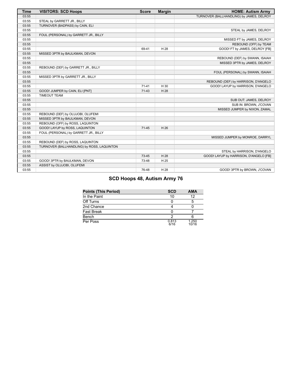| <b>Time</b> | <b>VISITORS: SCD Hoops</b>                 | <b>Score</b> | <b>Margin</b> | <b>HOME: Autism Army</b>                 |
|-------------|--------------------------------------------|--------------|---------------|------------------------------------------|
| 03:55       |                                            |              |               | TURNOVER (BALLHANDLING) by JAMES, DELROY |
| 03:55       | STEAL by GARRETT JR., BILLY                |              |               |                                          |
| 03:55       | TURNOVER (BADPASS) by CAIN, ELI            |              |               |                                          |
| 03:55       |                                            |              |               | STEAL by JAMES, DELROY                   |
| 03:55       | FOUL (PERSONAL) by GARRETT JR., BILLY      |              |               |                                          |
| 03:55       |                                            |              |               | MISSED FT by JAMES, DELROY               |
| 03:55       |                                            |              |               | REBOUND (OFF) by TEAM                    |
| 03:55       |                                            | 69-41        | H 28          | GOOD! FT by JAMES, DELROY [FB]           |
| 03:55       | MISSED 3PTR by BAULKMAN, DEVON             |              |               |                                          |
| 03:55       |                                            |              |               | REBOUND (DEF) by SWANN, ISAIAH           |
| 03:55       |                                            |              |               | MISSED 3PTR by JAMES, DELROY             |
| 03:55       | REBOUND (DEF) by GARRETT JR., BILLY        |              |               |                                          |
| 03:55       |                                            |              |               | FOUL (PERSONAL) by SWANN, ISAIAH         |
| 03:55       | MISSED 3PTR by GARRETT JR., BILLY          |              |               |                                          |
| 03:55       |                                            |              |               | REBOUND (DEF) by HARRISON, D'ANGELO      |
| 03:55       |                                            | $71 - 41$    | H 30          | GOOD! LAYUP by HARRISON, D'ANGELO        |
| 03:55       | GOOD! JUMPER by CAIN, ELI [PNT]            | $71-43$      | H 28          |                                          |
| 03:55       | <b>TIMEOUT TEAM</b>                        |              |               |                                          |
| 03:55       |                                            |              |               | SUB OUT: JAMES, DELROY                   |
| 03:55       |                                            |              |               | SUB IN: BROWN, J'COVAN                   |
| 03:55       |                                            |              |               | MISSED JUMPER by NIXON, ZAMAL            |
| 03:55       | REBOUND (DEF) by OLUJOBI, OLUFEMI          |              |               |                                          |
| 03:55       | MISSED 3PTR by BAULKMAN, DEVON             |              |               |                                          |
| 03:55       | REBOUND (OFF) by ROSS, LAQUINTON           |              |               |                                          |
| 03:55       | GOOD! LAYUP by ROSS, LAQUINTON             | $71 - 45$    | H 26          |                                          |
| 03:55       | FOUL (PERSONAL) by GARRETT JR., BILLY      |              |               |                                          |
| 03:55       |                                            |              |               | MISSED JUMPER by MONROE, DARRYL          |
| 03:55       | REBOUND (DEF) by ROSS, LAQUINTON           |              |               |                                          |
| 03:55       | TURNOVER (BALLHANDLING) by ROSS, LAQUINTON |              |               |                                          |
| 03:55       |                                            |              |               | STEAL by HARRISON, D'ANGELO              |
| 03:55       |                                            | 73-45        | H 28          | GOOD! LAYUP by HARRISON, D'ANGELO [FB]   |
| 03:55       | GOOD! 3PTR by BAULKMAN, DEVON              | 73-48        | H 25          |                                          |
| 03:55       | ASSIST by OLUJOBI, OLUFEMI                 |              |               |                                          |
| 03:55       |                                            | 76-48        | H 28          | GOOD! 3PTR by BROWN, J'COVAN             |

# **SCD Hoops 48, Autism Army 76**

| <b>Points (This Period)</b> | <b>SCD</b>    | <b>AMA</b>     |
|-----------------------------|---------------|----------------|
| In the Paint                | 10            | 12             |
| Off Turns                   |               |                |
| 2nd Chance                  |               |                |
| <b>Fast Break</b>           |               |                |
| Bench                       |               |                |
| Per Poss                    | 0.813<br>6/16 | 1.250<br>10/16 |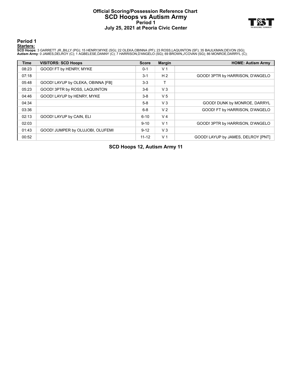### **Official Scoring/Possession Reference Chart SCD Hoops vs Autism Army Period 1 July 25, 2021 at Peoria Civic Center**



**Period 1**

#### **Starters:**

**SCD Hoops**: 3 GARRETT JR.,BILLY (PG); 15 HENRY,MYKE (SG); 22 OLEKA,OBINNA (PF); 23 ROSS,LAQUINTON (SF); 35 BAULKMAN,DEVON (SG);<br>**Autism Army**: 0 JAMES,DELROY (C); 1 AGBELESE,DANNY (C); 7 HARRISON,D'ANGELO (SG); 69 BROWN,J

| <b>Time</b> | <b>VISITORS: SCD Hoops</b>        | <b>Score</b> | <b>Margin</b>  | <b>HOME: Autism Army</b>           |
|-------------|-----------------------------------|--------------|----------------|------------------------------------|
| 08:23       | GOOD! FT by HENRY, MYKE           | $0 - 1$      | V <sub>1</sub> |                                    |
| 07:18       |                                   | $3 - 1$      | H <sub>2</sub> | GOOD! 3PTR by HARRISON, D'ANGELO   |
| 05:48       | GOOD! LAYUP by OLEKA, OBINNA [FB] | $3-3$        |                |                                    |
| 05:23       | GOOD! 3PTR by ROSS, LAQUINTON     | $3-6$        | $V_3$          |                                    |
| 04:46       | GOOD! LAYUP by HENRY, MYKE        | $3-8$        | V <sub>5</sub> |                                    |
| 04:34       |                                   | $5-8$        | $V_3$          | GOOD! DUNK by MONROE, DARRYL       |
| 03:36       |                                   | $6 - 8$      | V <sub>2</sub> | GOOD! FT by HARRISON, D'ANGELO     |
| 02:13       | GOOD! LAYUP by CAIN, ELI          | $6 - 10$     | V <sub>4</sub> |                                    |
| 02:03       |                                   | $9 - 10$     | V <sub>1</sub> | GOOD! 3PTR by HARRISON, D'ANGELO   |
| 01:43       | GOOD! JUMPER by OLUJOBI, OLUFEMI  | $9 - 12$     | $V_3$          |                                    |
| 00:52       |                                   | $11 - 12$    | V <sub>1</sub> | GOOD! LAYUP by JAMES, DELROY [PNT] |

**SCD Hoops 12, Autism Army 11**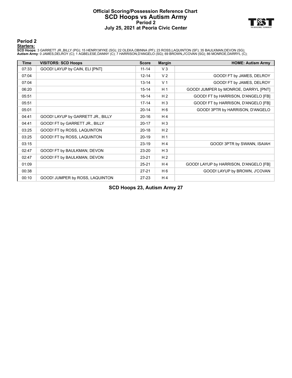### **Official Scoring/Possession Reference Chart SCD Hoops vs Autism Army Period 2 July 25, 2021 at Peoria Civic Center**



**Period 2**

#### **Starters:**

**SCD Hoops**: 3 GARRETT JR.,BILLY (PG); 15 HENRY,MYKE (SG); 22 OLEKA,OBINNA (PF); 23 ROSS,LAQUINTON (SF); 35 BAULKMAN,DEVON (SG);<br>**Autism Army**: 0 JAMES,DELROY (C); 1 AGBELESE,DANNY (C); 7 HARRISON,D'ANGELO (SG); 69 BROWN,J

| <b>Time</b> | <b>VISITORS: SCD Hoops</b>        | <b>Score</b> | <b>Margin</b>  | <b>HOME: Autism Army</b>               |
|-------------|-----------------------------------|--------------|----------------|----------------------------------------|
| 07:33       | GOOD! LAYUP by CAIN, ELI [PNT]    | $11 - 14$    | V <sub>3</sub> |                                        |
| 07:04       |                                   | $12 - 14$    | V <sub>2</sub> | GOOD! FT by JAMES, DELROY              |
| 07:04       |                                   | $13 - 14$    | V <sub>1</sub> | GOOD! FT by JAMES, DELROY              |
| 06:20       |                                   | $15 - 14$    | H <sub>1</sub> | GOOD! JUMPER by MONROE, DARRYL [PNT]   |
| 05:51       |                                   | $16 - 14$    | H <sub>2</sub> | GOOD! FT by HARRISON, D'ANGELO [FB]    |
| 05:51       |                                   | $17 - 14$    | $H_3$          | GOOD! FT by HARRISON, D'ANGELO [FB]    |
| 05:01       |                                   | $20 - 14$    | H <sub>6</sub> | GOOD! 3PTR by HARRISON, D'ANGELO       |
| 04:41       | GOOD! LAYUP by GARRETT JR., BILLY | $20 - 16$    | H4             |                                        |
| 04:41       | GOOD! FT by GARRETT JR., BILLY    | $20 - 17$    | $H_3$          |                                        |
| 03:25       | GOOD! FT by ROSS, LAQUINTON       | $20 - 18$    | H <sub>2</sub> |                                        |
| 03:25       | GOOD! FT by ROSS, LAQUINTON       | $20 - 19$    | H <sub>1</sub> |                                        |
| 03:15       |                                   | $23 - 19$    | H <sub>4</sub> | GOOD! 3PTR by SWANN, ISAIAH            |
| 02:47       | GOOD! FT by BAULKMAN, DEVON       | 23-20        | $H_3$          |                                        |
| 02:47       | GOOD! FT by BAULKMAN, DEVON       | $23 - 21$    | H <sub>2</sub> |                                        |
| 01:09       |                                   | $25 - 21$    | H4             | GOOD! LAYUP by HARRISON, D'ANGELO [FB] |
| 00:38       |                                   | $27 - 21$    | H <sub>6</sub> | GOOD! LAYUP by BROWN, J'COVAN          |
| 00:10       | GOOD! JUMPER by ROSS, LAQUINTON   | $27-23$      | H <sub>4</sub> |                                        |

**SCD Hoops 23, Autism Army 27**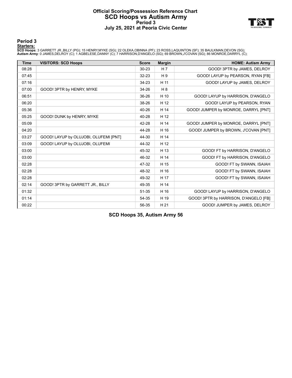### **Official Scoring/Possession Reference Chart SCD Hoops vs Autism Army Period 3 July 25, 2021 at Peoria Civic Center**



**Period 3**

#### **Starters:**

**SCD Hoops**: 3 GARRETT JR.,BILLY (PG); 15 HENRY,MYKE (SG); 22 OLEKA,OBINNA (PF); 23 ROSS,LAQUINTON (SF); 35 BAULKMAN,DEVON (SG);<br>**Autism Army**: 0 JAMES,DELROY (C); 1 AGBELESE,DANNY (C); 7 HARRISON,D'ANGELO (SG); 69 BROWN,J

| <b>Time</b> | <b>VISITORS: SCD Hoops</b>            | <b>Score</b> | <b>Margin</b> | <b>HOME: Autism Army</b>              |
|-------------|---------------------------------------|--------------|---------------|---------------------------------------|
| 08:28       |                                       | 30-23        | H 7           | GOOD! 3PTR by JAMES, DELROY           |
| 07:45       |                                       | $32 - 23$    | H 9           | GOOD! LAYUP by PEARSON, RYAN [FB]     |
| 07:16       |                                       | 34-23        | H 11          | GOOD! LAYUP by JAMES, DELROY          |
| 07:00       | GOOD! 3PTR by HENRY, MYKE             | 34-26        | H8            |                                       |
| 06:51       |                                       | 36-26        | H 10          | GOOD! LAYUP by HARRISON, D'ANGELO     |
| 06:20       |                                       | 38-26        | H 12          | GOOD! LAYUP by PEARSON, RYAN          |
| 05:36       |                                       | 40-26        | H 14          | GOOD! JUMPER by MONROE, DARRYL [PNT]  |
| 05:25       | GOOD! DUNK by HENRY, MYKE             | 40-28        | H 12          |                                       |
| 05:09       |                                       | 42-28        | H 14          | GOOD! JUMPER by MONROE, DARRYL [PNT]  |
| 04:20       |                                       | 44-28        | H 16          | GOOD! JUMPER by BROWN, J'COVAN [PNT]  |
| 03:27       | GOOD! LAYUP by OLUJOBI, OLUFEMI [PNT] | 44-30        | H 14          |                                       |
| 03:09       | GOOD! LAYUP by OLUJOBI, OLUFEMI       | 44-32        | H 12          |                                       |
| 03:00       |                                       | 45-32        | H 13          | GOOD! FT by HARRISON, D'ANGELO        |
| 03:00       |                                       | 46-32        | H 14          | GOOD! FT by HARRISON, D'ANGELO        |
| 02:28       |                                       | 47-32        | H 15          | GOOD! FT by SWANN, ISAIAH             |
| 02:28       |                                       | 48-32        | H 16          | GOOD! FT by SWANN, ISAIAH             |
| 02:28       |                                       | 49-32        | H 17          | GOOD! FT by SWANN, ISAIAH             |
| 02:14       | GOOD! 3PTR by GARRETT JR., BILLY      | 49-35        | H 14          |                                       |
| 01:32       |                                       | 51-35        | H 16          | GOOD! LAYUP by HARRISON, D'ANGELO     |
| 01:14       |                                       | 54-35        | H 19          | GOOD! 3PTR by HARRISON, D'ANGELO [FB] |
| 00:22       |                                       | 56-35        | H 21          | GOOD! JUMPER by JAMES, DELROY         |

**SCD Hoops 35, Autism Army 56**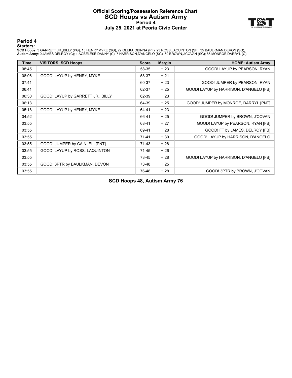### **Official Scoring/Possession Reference Chart SCD Hoops vs Autism Army Period 4 July 25, 2021 at Peoria Civic Center**



**Period 4**

#### **Starters:**

**SCD Hoops**: 3 GARRETT JR.,BILLY (PG); 15 HENRY,MYKE (SG); 22 OLEKA,OBINNA (PF); 23 ROSS,LAQUINTON (SF); 35 BAULKMAN,DEVON (SG);<br>**Autism Army**: 0 JAMES,DELROY (C); 1 AGBELESE,DANNY (C); 7 HARRISON,D'ANGELO (SG); 69 BROWN,J

| <b>Time</b> | <b>VISITORS: SCD Hoops</b>        | <b>Score</b> | <b>Margin</b> | <b>HOME: Autism Army</b>               |
|-------------|-----------------------------------|--------------|---------------|----------------------------------------|
| 08:45       |                                   | 58-35        | H 23          | GOOD! LAYUP by PEARSON, RYAN           |
| 08:06       | GOOD! LAYUP by HENRY, MYKE        | 58-37        | H 21          |                                        |
| 07:41       |                                   | 60-37        | H 23          | GOOD! JUMPER by PEARSON, RYAN          |
| 06:41       |                                   | 62-37        | H 25          | GOOD! LAYUP by HARRISON, D'ANGELO [FB] |
| 06:30       | GOOD! LAYUP by GARRETT JR., BILLY | 62-39        | H 23          |                                        |
| 06:13       |                                   | 64-39        | H 25          | GOOD! JUMPER by MONROE, DARRYL [PNT]   |
| 05:18       | GOOD! LAYUP by HENRY, MYKE        | 64-41        | H 23          |                                        |
| 04:52       |                                   | 66-41        | H 25          | GOOD! JUMPER by BROWN, J'COVAN         |
| 03:55       |                                   | 68-41        | H 27          | GOOD! LAYUP by PEARSON, RYAN [FB]      |
| 03:55       |                                   | 69-41        | H 28          | GOOD! FT by JAMES, DELROY [FB]         |
| 03:55       |                                   | $71 - 41$    | H 30          | GOOD! LAYUP by HARRISON, D'ANGELO      |
| 03:55       | GOOD! JUMPER by CAIN, ELI [PNT]   | $71-43$      | H 28          |                                        |
| 03:55       | GOOD! LAYUP by ROSS, LAQUINTON    | $71-45$      | H 26          |                                        |
| 03:55       |                                   | 73-45        | H 28          | GOOD! LAYUP by HARRISON, D'ANGELO [FB] |
| 03:55       | GOOD! 3PTR by BAULKMAN, DEVON     | 73-48        | H 25          |                                        |
| 03:55       |                                   | 76-48        | H 28          | GOOD! 3PTR by BROWN, J'COVAN           |

**SCD Hoops 48, Autism Army 76**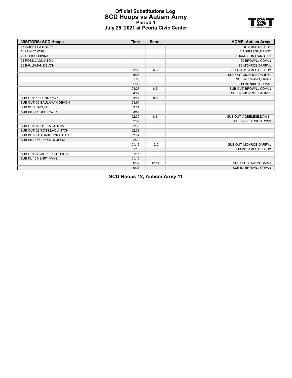#### **Official Substitutions Log SCD Hoops vs Autism Army Period 1 July 25, 2021 at Peoria Civic Center**



| <b>VISITORS: SCD Hoops</b>   | <b>Time</b> | <b>Score</b> | <b>HOME: Autism Army</b> |
|------------------------------|-------------|--------------|--------------------------|
| 3 GARRETT JR., BILLY         |             |              | 0 JAMES, DELROY          |
| 15 HENRY.MYKE                |             |              | 1 AGBELESE.DANNY         |
| 22 OLEKA, OBINNA             |             |              | 7 HARRISON, D'ANGELO     |
| 23 ROSS, LAQUINTON           |             |              | 69 BROWN, J'COVAN        |
| 35 BAULKMAN.DEVON            |             |              | 86 MONROE, DARRYL        |
|                              | 05:08       | $6 - 3$      | SUB OUT: JAMES, DELROY   |
|                              | 05:08       |              | SUB OUT: MONROE, DARRYL  |
|                              | 05:08       |              | SUB IN: SWANN, ISAIAH    |
|                              | 05:08       |              | SUB IN: NIXON, ZAMAL     |
|                              | 04:27       | $8 - 5$      | SUB OUT: BROWN, J'COVAN  |
|                              | 04:27       |              | SUB IN: MONROE, DARRYL   |
| SUB OUT: 15 HENRY, MYKE      | 03:51       | $8 - 5$      |                          |
| SUB OUT: 35 BAULKMAN, DEVON  | 03:51       |              |                          |
| SUB IN: 6 CAIN, ELI          | 03:51       |              |                          |
| SUB IN: 34 COHN, DAVID       | 03:51       |              |                          |
|                              | 02:39       | $8-6$        | SUB OUT: AGBELESE, DANNY |
|                              | 02:39       |              | SUB IN: PEARSON.RYAN     |
| SUB OUT: 22 OLEKA, OBINNA    | 02:39       |              |                          |
| SUB OUT: 23 ROSS, LAQUINTON  | 02:39       |              |                          |
| SUB IN: 8 KASIBABU.JONATHAN  | 02:39       |              |                          |
| SUB IN: 33 OLUJOBI, OLUFEMI  | 02:39       |              |                          |
|                              | 01:16       | $12-9$       | SUB OUT: MONROE, DARRYL  |
|                              | 01:16       |              | SUB IN: JAMES.DELROY     |
| SUB OUT: 3 GARRETT JR. BILLY | 01:16       |              |                          |
| SUB IN: 15 HENRY, MYKE       | 01:16       |              |                          |
|                              | 00:37       | $12 - 11$    | SUB OUT: SWANN, ISAIAH   |
|                              | 00:37       |              | SUB IN: BROWN, J'COVAN   |

**SCD Hoops 12, Autism Army 11**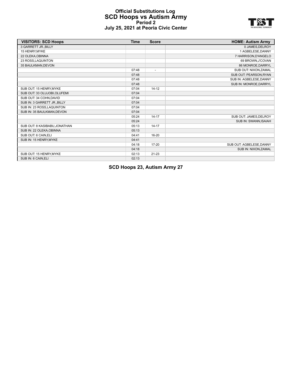#### **Official Substitutions Log SCD Hoops vs Autism Army Period 2 July 25, 2021 at Peoria Civic Center**



| <b>VISITORS: SCD Hoops</b>   | <b>Time</b> | <b>Score</b>             | <b>HOME: Autism Army</b> |
|------------------------------|-------------|--------------------------|--------------------------|
| 3 GARRETT JR., BILLY         |             |                          | 0 JAMES, DELROY          |
| 15 HENRY, MYKE               |             |                          | 1 AGBELESE.DANNY         |
| 22 OLEKA, OBINNA             |             |                          | 7 HARRISON, D'ANGELO     |
| 23 ROSS, LAQUINTON           |             |                          | 69 BROWN, J'COVAN        |
| 35 BAULKMAN, DEVON           |             |                          | 86 MONROE, DARRYL        |
|                              | 07:48       | $\overline{\phantom{a}}$ | SUB OUT: NIXON, ZAMAL    |
|                              | 07:48       |                          | SUB OUT: PEARSON, RYAN   |
|                              | 07:48       |                          | SUB IN: AGBELESE, DANNY  |
|                              | 07:48       |                          | SUB IN: MONROE, DARRYL   |
| SUB OUT: 15 HENRY, MYKE      | 07:04       | $14 - 12$                |                          |
| SUB OUT: 33 OLUJOBI, OLUFEMI | 07:04       |                          |                          |
| SUB OUT: 34 COHN.DAVID       | 07:04       |                          |                          |
| SUB IN: 3 GARRETT JR., BILLY | 07:04       |                          |                          |
| SUB IN: 23 ROSS, LAQUINTON   | 07:04       |                          |                          |
| SUB IN: 35 BAULKMAN, DEVON   | 07:04       |                          |                          |
|                              | 05:24       | $14 - 17$                | SUB OUT: JAMES, DELROY   |
|                              | 05:24       |                          | SUB IN: SWANN, ISAIAH    |
| SUB OUT: 8 KASIBABU.JONATHAN | 05:13       | $14 - 17$                |                          |
| SUB IN: 22 OLEKA, OBINNA     | 05:13       |                          |                          |
| SUB OUT: 6 CAIN, ELI         | 04:41       | 16-20                    |                          |
| SUB IN: 15 HENRY, MYKE       | 04:41       |                          |                          |
|                              | 04:18       | $17 - 20$                | SUB OUT: AGBELESE, DANNY |
|                              | 04:18       |                          | SUB IN: NIXON, ZAMAL     |
| SUB OUT: 15 HENRY, MYKE      | 02:13       | $21 - 23$                |                          |
| SUB IN: 6 CAIN, ELI          | 02:13       |                          |                          |

**SCD Hoops 23, Autism Army 27**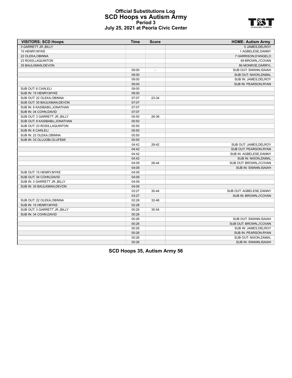#### **Official Substitutions Log SCD Hoops vs Autism Army Period 3 July 25, 2021 at Peoria Civic Center**



| <b>VISITORS: SCD Hoops</b>    | <b>Time</b> | <b>Score</b>             | <b>HOME: Autism Army</b> |
|-------------------------------|-------------|--------------------------|--------------------------|
| 3 GARRETT JR., BILLY          |             |                          | 0 JAMES, DELROY          |
| 15 HENRY, MYKE                |             |                          | 1 AGBELESE, DANNY        |
| 22 OLEKA, OBINNA              |             |                          | 7 HARRISON, D'ANGELO     |
| 23 ROSS, LAQUINTON            |             |                          | 69 BROWN, J'COVAN        |
| 35 BAULKMAN, DEVON            |             |                          | 86 MONROE, DARRYL        |
|                               | 09:00       | $\overline{\phantom{a}}$ | SUB OUT: SWANN, ISAIAH   |
|                               | 09:00       |                          | SUB OUT: NIXON, ZAMAL    |
|                               | 09:00       |                          | SUB IN: JAMES, DELROY    |
|                               | 09:00       |                          | SUB IN: PEARSON, RYAN    |
| SUB OUT: 6 CAIN, ELI          | 09:00       |                          |                          |
| SUB IN: 15 HENRY, MYKE        | 09:00       |                          |                          |
| SUB OUT: 22 OLEKA OBINNA      | 07:07       | 23-34                    |                          |
| SUB OUT: 35 BAULKMAN, DEVON   | 07:07       |                          |                          |
| SUB IN: 8 KASIBABU, JONATHAN  | 07:07       |                          |                          |
| SUB IN: 34 COHN, DAVID        | 07:07       |                          |                          |
| SUB OUT: 3 GARRETT JR., BILLY | 05:50       | 26-38                    |                          |
| SUB OUT: 8 KASIBABU, JONATHAN | 05:50       |                          |                          |
| SUB OUT: 23 ROSS, LAQUINTON   | 05:50       |                          |                          |
| SUB IN: 6 CAIN.ELI            | 05:50       |                          |                          |
| SUB IN: 22 OLEKA, OBINNA      | 05:50       |                          |                          |
| SUB IN: 33 OLUJOBI, OLUFEMI   | 05:50       |                          |                          |
|                               | 04:42       | 28-42                    | SUB OUT: JAMES, DELROY   |
|                               | 04:42       |                          | SUB OUT: PEARSON.RYAN    |
|                               | 04:42       |                          | SUB IN: AGBELESE.DANNY   |
|                               | 04:42       |                          | SUB IN: NIXON, ZAMAL     |
|                               | 04:09       | 28-44                    | SUB OUT: BROWN, J'COVAN  |
|                               | 04:09       |                          | SUB IN: SWANN, ISAIAH    |
| SUB OUT: 15 HENRY, MYKE       | 04:09       |                          |                          |
| SUB OUT: 34 COHN, DAVID       | 04:09       |                          |                          |
| SUB IN: 3 GARRETT JR., BILLY  | 04:09       |                          |                          |
| SUB IN: 35 BAULKMAN, DEVON    | 04:09       |                          |                          |
|                               | 03:27       | 30-44                    | SUB OUT: AGBELESE, DANNY |
|                               | 03:27       |                          | SUB IN: BROWN, J'COVAN   |
| SUB OUT: 22 OLEKA, OBINNA     | 02:28       | $32 - 48$                |                          |
| SUB IN: 15 HENRY, MYKE        | 02:28       |                          |                          |
| SUB OUT: 3 GARRETT JR., BILLY | 00:26       | 35-54                    |                          |
| SUB IN: 34 COHN, DAVID        | 00:26       |                          |                          |
|                               | 00:26       |                          | SUB OUT: SWANN, ISAIAH   |
|                               | 00:26       |                          | SUB OUT: BROWN, J'COVAN  |
|                               | 00:26       |                          | SUB IN: JAMES, DELROY    |
|                               | 00:26       |                          | SUB IN: PEARSON, RYAN    |
|                               | 00:26       |                          | SUB OUT: NIXON, ZAMAL    |
|                               | 00:26       |                          | SUB IN: SWANN.ISAIAH     |
|                               |             |                          |                          |

**SCD Hoops 35, Autism Army 56**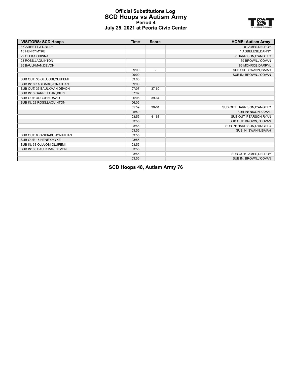#### **Official Substitutions Log SCD Hoops vs Autism Army Period 4 July 25, 2021 at Peoria Civic Center**



| <b>VISITORS: SCD Hoops</b>    | <b>Time</b> | <b>Score</b>   | <b>HOME: Autism Army</b>    |
|-------------------------------|-------------|----------------|-----------------------------|
| 3 GARRETT JR., BILLY          |             |                | 0 JAMES, DELROY             |
| 15 HENRY, MYKE                |             |                | 1 AGBELESE, DANNY           |
| 22 OLEKA, OBINNA              |             |                | 7 HARRISON, D'ANGELO        |
| 23 ROSS LAQUINTON             |             |                | 69 BROWN, J'COVAN           |
| 35 BAULKMAN.DEVON             |             |                | 86 MONROE.DARRYL            |
|                               | 09:00       | $\overline{a}$ | SUB OUT: SWANN, ISAIAH      |
|                               | 09:00       |                | SUB IN: BROWN, J'COVAN      |
| SUB OUT: 33 OLUJOBI, OLUFEMI  | 09:00       |                |                             |
| SUB IN: 8 KASIBABU, JONATHAN  | 09:00       |                |                             |
| SUB OUT: 35 BAULKMAN, DEVON   | 07:07       | 37-60          |                             |
| SUB IN: 3 GARRETT JR., BILLY  | 07:07       |                |                             |
| SUB OUT: 34 COHN, DAVID       | 06:05       | 39-64          |                             |
| SUB IN: 23 ROSS, LAQUINTON    | 06:05       |                |                             |
|                               | 05:59       | 39-64          | SUB OUT: HARRISON, D'ANGELO |
|                               | 05:59       |                | SUB IN: NIXON, ZAMAL        |
|                               | 03:55       | 41-68          | SUB OUT: PEARSON.RYAN       |
|                               | 03:55       |                | SUB OUT: BROWN, J'COVAN     |
|                               | 03:55       |                | SUB IN: HARRISON, D'ANGELO  |
|                               | 03:55       |                | SUB IN: SWANN, ISAIAH       |
| SUB OUT: 8 KASIBABU, JONATHAN | 03:55       |                |                             |
| SUB OUT: 15 HENRY.MYKE        | 03:55       |                |                             |
| SUB IN: 33 OLUJOBI, OLUFEMI   | 03:55       |                |                             |
| SUB IN: 35 BAULKMAN, DEVON    | 03:55       |                |                             |
|                               | 03:55       |                | SUB OUT: JAMES, DELROY      |
|                               | 03:55       |                | SUB IN: BROWN, J'COVAN      |

**SCD Hoops 48, Autism Army 76**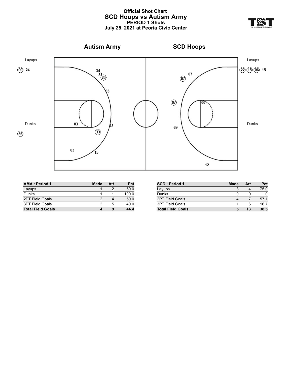#### **Official Shot Chart SCD Hoops vs Autism Army PERIOD 1 Shots July 25, 2021 at Peoria Civic Center**





| <b>AMA: Period 1</b>     | Made | Att | Pct   |
|--------------------------|------|-----|-------|
| Layups                   |      |     | 50.0  |
| Dunks                    |      |     | 100.0 |
| 2PT Field Goals          |      |     | 50.0  |
| <b>3PT Field Goals</b>   |      | 5   | 40.0  |
| <b>Total Field Goals</b> |      | 9   | 44.4  |

| <b>SCD: Period 1</b>     | <b>Made</b> | Att | Pct  |
|--------------------------|-------------|-----|------|
| Layups                   |             |     | 75.0 |
| Dunks                    |             | O   |      |
| <b>2PT Field Goals</b>   |             |     | 57.1 |
| <b>3PT Field Goals</b>   |             | 6   | 16.7 |
| <b>Total Field Goals</b> |             | 13  | 38.5 |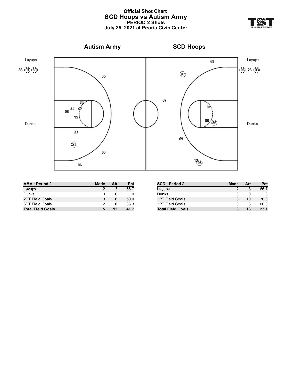#### **Official Shot Chart SCD Hoops vs Autism Army PERIOD 2 Shots July 25, 2021 at Peoria Civic Center**



| <b>AMA: Period 2</b>     | <b>Made</b> | Att | Pct  |
|--------------------------|-------------|-----|------|
| Layups                   |             |     | 66.7 |
| Dunks                    |             |     |      |
| <b>2PT Field Goals</b>   |             |     | 50.0 |
| 3PT Field Goals          |             |     | 33.3 |
| <b>Total Field Goals</b> |             | 12  | 41.7 |

| <b>SCD: Period 2</b>     | <b>Made</b> | Att | Pct  |
|--------------------------|-------------|-----|------|
| Layups                   |             |     | 66.7 |
| Dunks                    |             |     |      |
| 2PT Field Goals          | 3           | 10  | 30.0 |
| 3PT Field Goals          |             |     | 00.0 |
| <b>Total Field Goals</b> | 3           | 13  | 23.1 |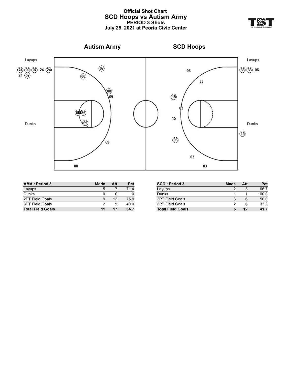#### **Official Shot Chart SCD Hoops vs Autism Army PERIOD 3 Shots July 25, 2021 at Peoria Civic Center**



| <b>AMA: Period 3</b>     | <b>Made</b> | Att | Pct  |
|--------------------------|-------------|-----|------|
| Layups                   | 5           |     | 71.4 |
| Dunks                    |             | U   |      |
| <b>2PT Field Goals</b>   | 9           | 12  | 75.0 |
| <b>3PT Field Goals</b>   |             | 5   | 40.0 |
| <b>Total Field Goals</b> | 11          | 17  | 64.7 |

| <b>SCD: Period 3</b>     | Made | Att | Pct   |
|--------------------------|------|-----|-------|
| Layups                   |      | 3   | 66.7  |
| Dunks                    |      |     | 100.0 |
| 2PT Field Goals          |      | 6   | 50.0  |
| <b>3PT Field Goals</b>   | າ    | 6   | 33.3  |
| <b>Total Field Goals</b> |      | 12  | 417   |

**YR**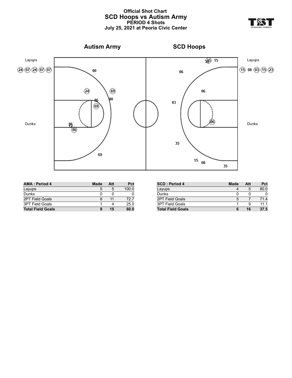#### **Official Shot Chart SCD Hoops vs Autism Army PERIOD 4 Shots July 25, 2021 at Peoria Civic Center**





| <b>AMA: Period 4</b>     | <b>Made</b> | Att | Pct   |
|--------------------------|-------------|-----|-------|
| Layups                   | 5           | 5   | 100.0 |
| Dunks                    |             |     |       |
| <b>2PT Field Goals</b>   |             | 11  | 72.7  |
| <b>3PT Field Goals</b>   |             |     | 25.0  |
| <b>Total Field Goals</b> | 9           | 15  | 60.0  |

| <b>SCD: Period 4</b>     | <b>Made</b> | Att | Pct  |
|--------------------------|-------------|-----|------|
| Layups                   |             | 5   | 80.0 |
| Dunks                    |             |     |      |
| 2PT Field Goals          | 5           |     | 71.4 |
| <b>3PT Field Goals</b>   |             | 9   | 11 1 |
| <b>Total Field Goals</b> | 6           | 16  | 37.5 |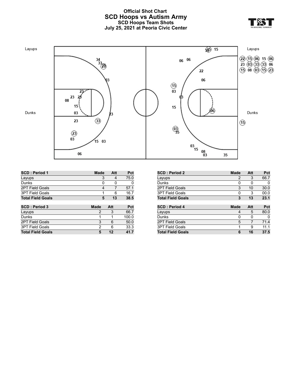### **Official Shot Chart SCD Hoops vs Autism Army SCD Hoops Team Shots July 25, 2021 at Peoria Civic Center**





**SCD : Period 1 Made Att Pct** Layups 3 4 75.0 Dunks 0 0 0 0 2PT Field Goals 4 7 57.1 3PT Field Goals 1 6 16.7 **Total Field Goals 5 13 38.5 SCD : Period 3 Made Att Pct** Layups 2 3 66.7 Dunks 1 1 1 100.0 2PT Field Goals 3 6 50.0 3PT Field Goals 2 6 33.3 **Total Field Goals 5 12 41.7**

| <b>SCD: Period 2</b>     | <b>Made</b> | Att | Pct  |
|--------------------------|-------------|-----|------|
| Layups                   | 2           | 3   | 66.7 |
| Dunks                    | 0           | 0   | 0    |
| 2PT Field Goals          | 3           | 10  | 30.0 |
| <b>3PT Field Goals</b>   | 0           | 3   | 00.0 |
| <b>Total Field Goals</b> | 3           | 13  | 23.1 |
|                          |             |     |      |
| <b>SCD: Period 4</b>     | <b>Made</b> | Att | Pct  |
| Layups                   | 4           | 5   | 80.0 |
| Dunks                    | 0           | 0   | 0    |
| 2PT Field Goals          | 5           | 7   | 71.4 |
| 3PT Field Goals          | 1           | 9   | 11.1 |
| <b>Total Field Goals</b> | 6           | 16  | 37.5 |